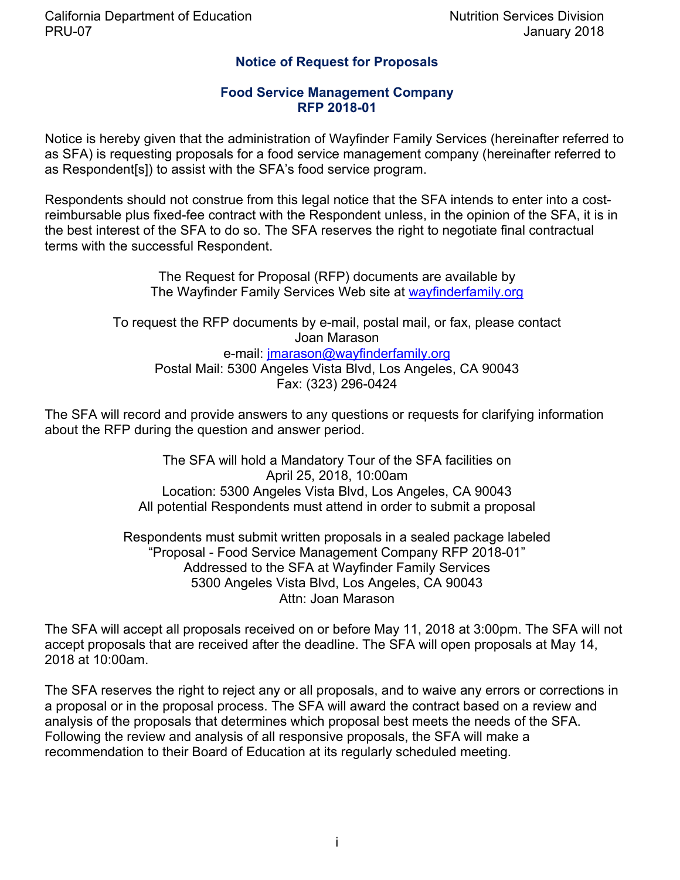# **Notice of Request for Proposals**

### **Food Service Management Company RFP 2018-01**

Notice is hereby given that the administration of Wayfinder Family Services (hereinafter referred to as SFA) is requesting proposals for a food service management company (hereinafter referred to as Respondent[s]) to assist with the SFA's food service program.

Respondents should not construe from this legal notice that the SFA intends to enter into a costreimbursable plus fixed-fee contract with the Respondent unless, in the opinion of the SFA, it is in the best interest of the SFA to do so. The SFA reserves the right to negotiate final contractual terms with the successful Respondent.

> The Request for Proposal (RFP) documents are available by The Wayfinder Family Services Web site at wayfinderfamily.org

To request the RFP documents by e-mail, postal mail, or fax, please contact Joan Marason e-mail: jmarason@wayfinderfamily.org Postal Mail: 5300 Angeles Vista Blvd, Los Angeles, CA 90043 Fax: (323) 296-0424

The SFA will record and provide answers to any questions or requests for clarifying information about the RFP during the question and answer period.

> The SFA will hold a Mandatory Tour of the SFA facilities on April 25, 2018, 10:00am Location: 5300 Angeles Vista Blvd, Los Angeles, CA 90043 All potential Respondents must attend in order to submit a proposal

Respondents must submit written proposals in a sealed package labeled "Proposal - Food Service Management Company RFP 2018-01" Addressed to the SFA at Wayfinder Family Services 5300 Angeles Vista Blvd, Los Angeles, CA 90043 Attn: Joan Marason

The SFA will accept all proposals received on or before May 11, 2018 at 3:00pm. The SFA will not accept proposals that are received after the deadline. The SFA will open proposals at May 14, 2018 at 10:00am.

The SFA reserves the right to reject any or all proposals, and to waive any errors or corrections in a proposal or in the proposal process. The SFA will award the contract based on a review and analysis of the proposals that determines which proposal best meets the needs of the SFA. Following the review and analysis of all responsive proposals, the SFA will make a recommendation to their Board of Education at its regularly scheduled meeting.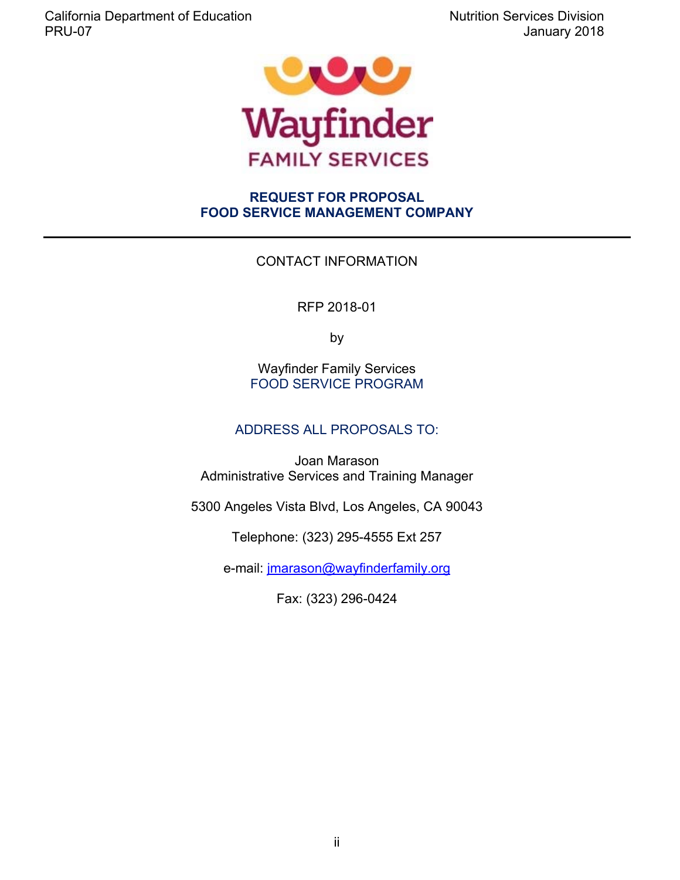

# **REQUEST FOR PROPOSAL FOOD SERVICE MANAGEMENT COMPANY**

# CONTACT INFORMATION

RFP 2018-01

by

Wayfinder Family Services FOOD SERVICE PROGRAM

# ADDRESS ALL PROPOSALS TO:

Joan Marason Administrative Services and Training Manager

5300 Angeles Vista Blvd, Los Angeles, CA 90043

Telephone: (323) 295-4555 Ext 257

e-mail: jmarason@wayfinderfamily.org

Fax: (323) 296-0424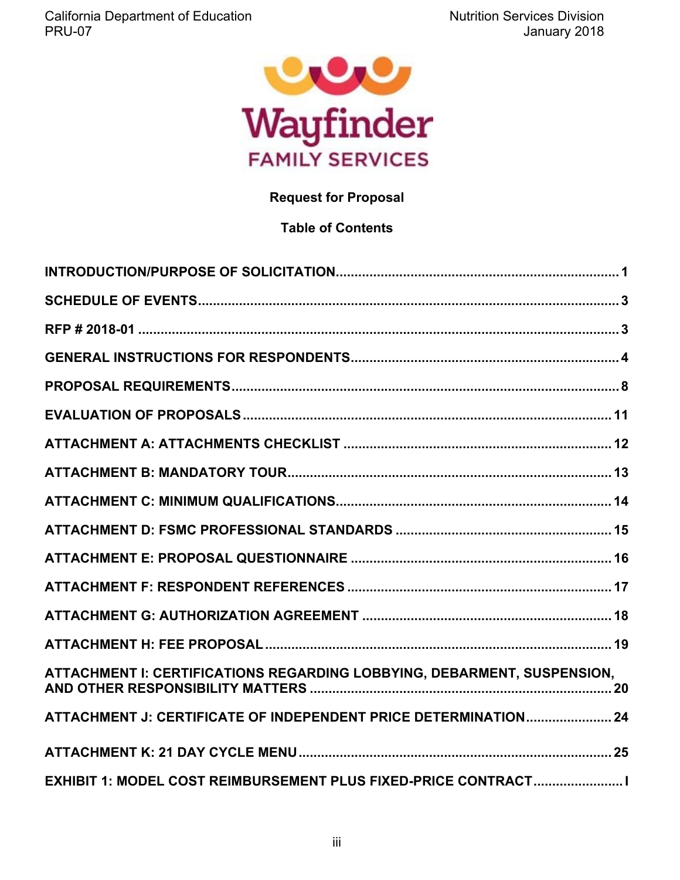

# **Request for Proposal**

# **Table of Contents**

| ATTACHMENT I: CERTIFICATIONS REGARDING LOBBYING, DEBARMENT, SUSPENSION, |
|-------------------------------------------------------------------------|
| ATTACHMENT J: CERTIFICATE OF INDEPENDENT PRICE DETERMINATION 24         |
|                                                                         |
| EXHIBIT 1: MODEL COST REIMBURSEMENT PLUS FIXED-PRICE CONTRACT I         |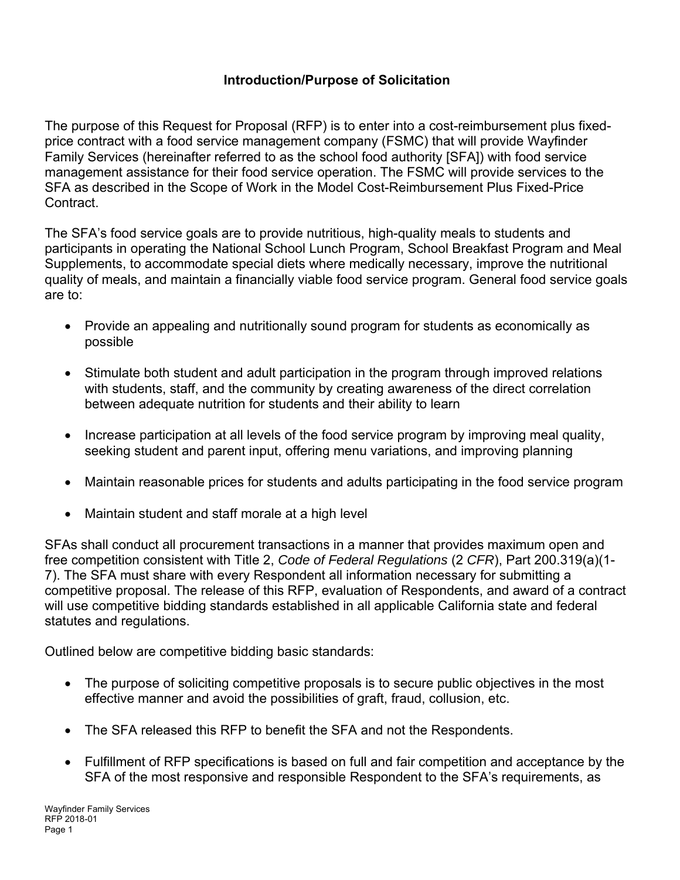# **Introduction/Purpose of Solicitation**

The purpose of this Request for Proposal (RFP) is to enter into a cost-reimbursement plus fixedprice contract with a food service management company (FSMC) that will provide Wayfinder Family Services (hereinafter referred to as the school food authority [SFA]) with food service management assistance for their food service operation. The FSMC will provide services to the SFA as described in the Scope of Work in the Model Cost-Reimbursement Plus Fixed-Price Contract.

The SFA's food service goals are to provide nutritious, high-quality meals to students and participants in operating the National School Lunch Program, School Breakfast Program and Meal Supplements, to accommodate special diets where medically necessary, improve the nutritional quality of meals, and maintain a financially viable food service program. General food service goals are to:

- Provide an appealing and nutritionally sound program for students as economically as possible
- Stimulate both student and adult participation in the program through improved relations with students, staff, and the community by creating awareness of the direct correlation between adequate nutrition for students and their ability to learn
- Increase participation at all levels of the food service program by improving meal quality, seeking student and parent input, offering menu variations, and improving planning
- Maintain reasonable prices for students and adults participating in the food service program
- Maintain student and staff morale at a high level

SFAs shall conduct all procurement transactions in a manner that provides maximum open and free competition consistent with Title 2, *Code of Federal Regulations* (2 *CFR*), Part 200.319(a)(1- 7). The SFA must share with every Respondent all information necessary for submitting a competitive proposal. The release of this RFP, evaluation of Respondents, and award of a contract will use competitive bidding standards established in all applicable California state and federal statutes and regulations.

Outlined below are competitive bidding basic standards:

- The purpose of soliciting competitive proposals is to secure public objectives in the most effective manner and avoid the possibilities of graft, fraud, collusion, etc.
- The SFA released this RFP to benefit the SFA and not the Respondents.
- Fulfillment of RFP specifications is based on full and fair competition and acceptance by the SFA of the most responsive and responsible Respondent to the SFA's requirements, as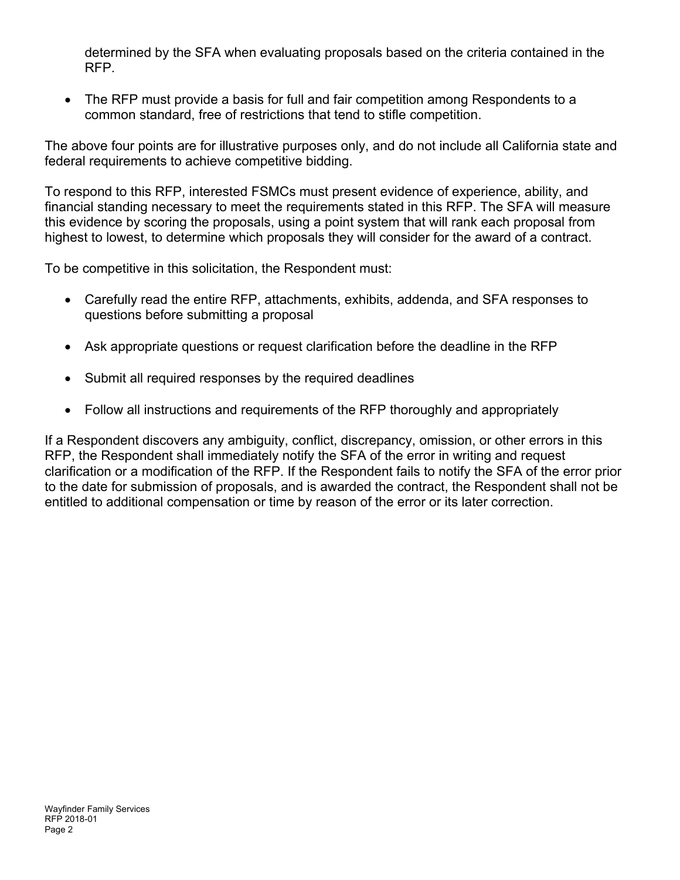determined by the SFA when evaluating proposals based on the criteria contained in the RFP.

 The RFP must provide a basis for full and fair competition among Respondents to a common standard, free of restrictions that tend to stifle competition.

The above four points are for illustrative purposes only, and do not include all California state and federal requirements to achieve competitive bidding.

To respond to this RFP, interested FSMCs must present evidence of experience, ability, and financial standing necessary to meet the requirements stated in this RFP. The SFA will measure this evidence by scoring the proposals, using a point system that will rank each proposal from highest to lowest, to determine which proposals they will consider for the award of a contract.

To be competitive in this solicitation, the Respondent must:

- Carefully read the entire RFP, attachments, exhibits, addenda, and SFA responses to questions before submitting a proposal
- Ask appropriate questions or request clarification before the deadline in the RFP
- Submit all required responses by the required deadlines
- Follow all instructions and requirements of the RFP thoroughly and appropriately

If a Respondent discovers any ambiguity, conflict, discrepancy, omission, or other errors in this RFP, the Respondent shall immediately notify the SFA of the error in writing and request clarification or a modification of the RFP. If the Respondent fails to notify the SFA of the error prior to the date for submission of proposals, and is awarded the contract, the Respondent shall not be entitled to additional compensation or time by reason of the error or its later correction.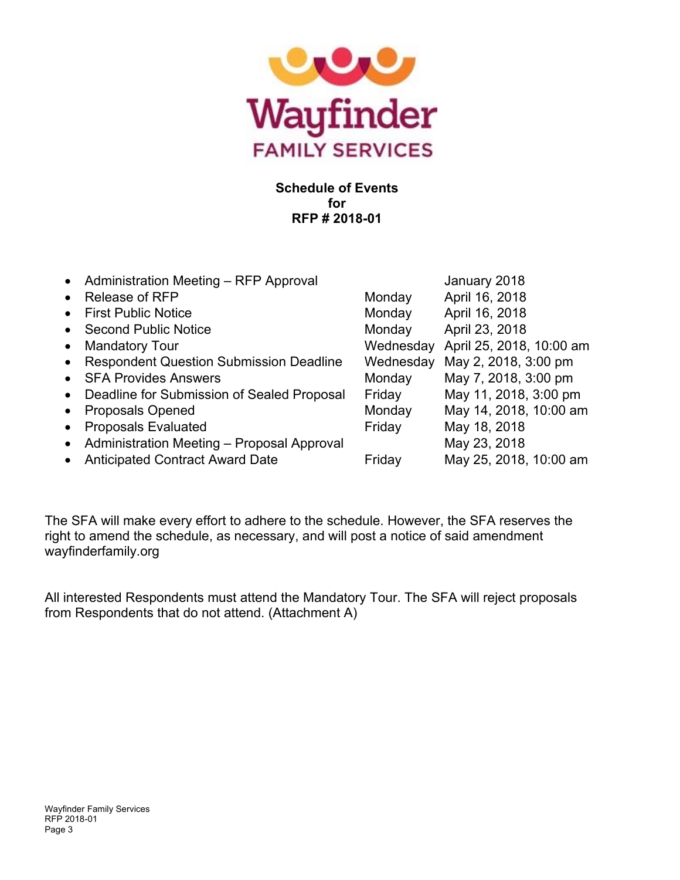

# **Schedule of Events for RFP # 2018-01**

|                                                |                                                                                                                | January 2018             |
|------------------------------------------------|----------------------------------------------------------------------------------------------------------------|--------------------------|
|                                                | Monday                                                                                                         | April 16, 2018           |
| <b>First Public Notice</b>                     | Monday                                                                                                         | April 16, 2018           |
| <b>Second Public Notice</b>                    | Monday                                                                                                         | April 23, 2018           |
| <b>Mandatory Tour</b>                          | Wednesday                                                                                                      | April 25, 2018, 10:00 am |
| <b>Respondent Question Submission Deadline</b> | Wednesday                                                                                                      | May 2, 2018, 3:00 pm     |
| <b>SFA Provides Answers</b>                    | Monday                                                                                                         | May 7, 2018, 3:00 pm     |
|                                                | Friday                                                                                                         | May 11, 2018, 3:00 pm    |
| <b>Proposals Opened</b>                        | Monday                                                                                                         | May 14, 2018, 10:00 am   |
| <b>Proposals Evaluated</b>                     | Friday                                                                                                         | May 18, 2018             |
| Administration Meeting - Proposal Approval     |                                                                                                                | May 23, 2018             |
| <b>Anticipated Contract Award Date</b>         | Friday                                                                                                         | May 25, 2018, 10:00 am   |
|                                                | • Administration Meeting - RFP Approval<br><b>Release of RFP</b><br>Deadline for Submission of Sealed Proposal |                          |

The SFA will make every effort to adhere to the schedule. However, the SFA reserves the right to amend the schedule, as necessary, and will post a notice of said amendment wayfinderfamily.org

All interested Respondents must attend the Mandatory Tour. The SFA will reject proposals from Respondents that do not attend. (Attachment A)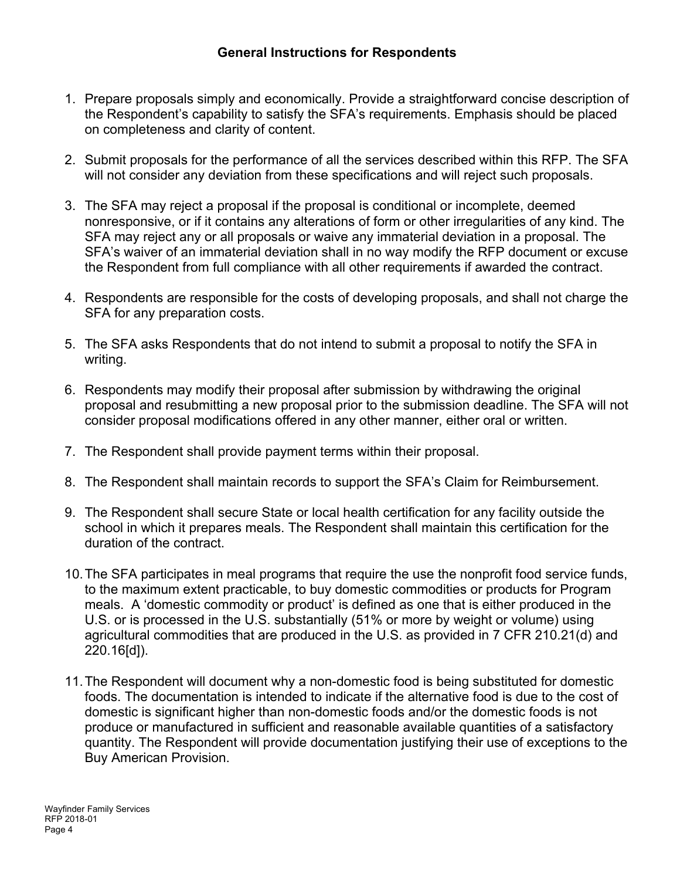- 1. Prepare proposals simply and economically. Provide a straightforward concise description of the Respondent's capability to satisfy the SFA's requirements. Emphasis should be placed on completeness and clarity of content.
- 2. Submit proposals for the performance of all the services described within this RFP. The SFA will not consider any deviation from these specifications and will reject such proposals.
- 3. The SFA may reject a proposal if the proposal is conditional or incomplete, deemed nonresponsive, or if it contains any alterations of form or other irregularities of any kind. The SFA may reject any or all proposals or waive any immaterial deviation in a proposal. The SFA's waiver of an immaterial deviation shall in no way modify the RFP document or excuse the Respondent from full compliance with all other requirements if awarded the contract.
- 4. Respondents are responsible for the costs of developing proposals, and shall not charge the SFA for any preparation costs.
- 5. The SFA asks Respondents that do not intend to submit a proposal to notify the SFA in writing.
- 6. Respondents may modify their proposal after submission by withdrawing the original proposal and resubmitting a new proposal prior to the submission deadline. The SFA will not consider proposal modifications offered in any other manner, either oral or written.
- 7. The Respondent shall provide payment terms within their proposal.
- 8. The Respondent shall maintain records to support the SFA's Claim for Reimbursement.
- 9. The Respondent shall secure State or local health certification for any facility outside the school in which it prepares meals. The Respondent shall maintain this certification for the duration of the contract.
- 10. The SFA participates in meal programs that require the use the nonprofit food service funds, to the maximum extent practicable, to buy domestic commodities or products for Program meals. A 'domestic commodity or product' is defined as one that is either produced in the U.S. or is processed in the U.S. substantially (51% or more by weight or volume) using agricultural commodities that are produced in the U.S. as provided in 7 CFR 210.21(d) and 220.16[d]).
- 11. The Respondent will document why a non-domestic food is being substituted for domestic foods. The documentation is intended to indicate if the alternative food is due to the cost of domestic is significant higher than non-domestic foods and/or the domestic foods is not produce or manufactured in sufficient and reasonable available quantities of a satisfactory quantity. The Respondent will provide documentation justifying their use of exceptions to the Buy American Provision.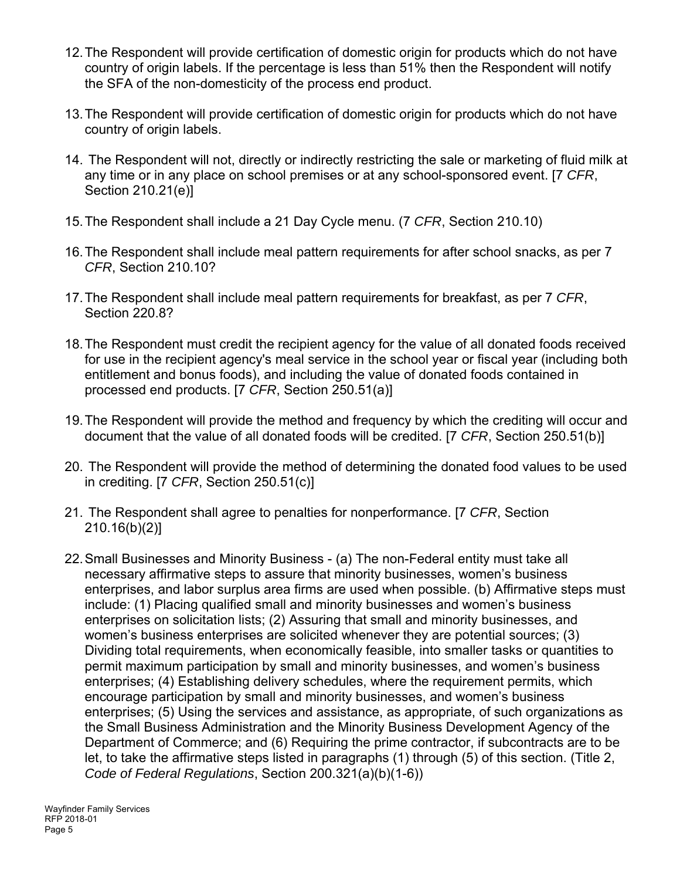- 12. The Respondent will provide certification of domestic origin for products which do not have country of origin labels. If the percentage is less than 51% then the Respondent will notify the SFA of the non-domesticity of the process end product.
- 13. The Respondent will provide certification of domestic origin for products which do not have country of origin labels.
- 14. The Respondent will not, directly or indirectly restricting the sale or marketing of fluid milk at any time or in any place on school premises or at any school-sponsored event. [7 *CFR*, Section 210.21(e)]
- 15. The Respondent shall include a 21 Day Cycle menu. (7 *CFR*, Section 210.10)
- 16. The Respondent shall include meal pattern requirements for after school snacks, as per 7 *CFR*, Section 210.10?
- 17. The Respondent shall include meal pattern requirements for breakfast, as per 7 *CFR*, Section 220.8?
- 18. The Respondent must credit the recipient agency for the value of all donated foods received for use in the recipient agency's meal service in the school year or fiscal year (including both entitlement and bonus foods), and including the value of donated foods contained in processed end products. [7 *CFR*, Section 250.51(a)]
- 19. The Respondent will provide the method and frequency by which the crediting will occur and document that the value of all donated foods will be credited. [7 *CFR*, Section 250.51(b)]
- 20. The Respondent will provide the method of determining the donated food values to be used in crediting. [7 *CFR*, Section 250.51(c)]
- 21. The Respondent shall agree to penalties for nonperformance. [7 *CFR*, Section 210.16(b)(2)]
- 22. Small Businesses and Minority Business (a) The non-Federal entity must take all necessary affirmative steps to assure that minority businesses, women's business enterprises, and labor surplus area firms are used when possible. (b) Affirmative steps must include: (1) Placing qualified small and minority businesses and women's business enterprises on solicitation lists; (2) Assuring that small and minority businesses, and women's business enterprises are solicited whenever they are potential sources; (3) Dividing total requirements, when economically feasible, into smaller tasks or quantities to permit maximum participation by small and minority businesses, and women's business enterprises; (4) Establishing delivery schedules, where the requirement permits, which encourage participation by small and minority businesses, and women's business enterprises; (5) Using the services and assistance, as appropriate, of such organizations as the Small Business Administration and the Minority Business Development Agency of the Department of Commerce; and (6) Requiring the prime contractor, if subcontracts are to be let, to take the affirmative steps listed in paragraphs (1) through (5) of this section. (Title 2, *Code of Federal Regulations*, Section 200.321(a)(b)(1-6))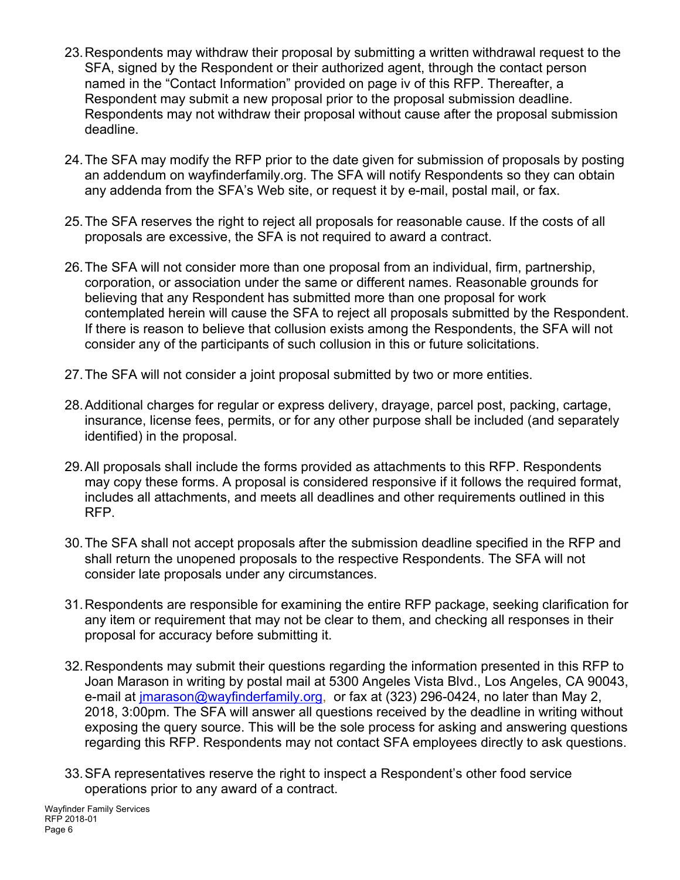- 23. Respondents may withdraw their proposal by submitting a written withdrawal request to the SFA, signed by the Respondent or their authorized agent, through the contact person named in the "Contact Information" provided on page iv of this RFP. Thereafter, a Respondent may submit a new proposal prior to the proposal submission deadline. Respondents may not withdraw their proposal without cause after the proposal submission deadline.
- 24. The SFA may modify the RFP prior to the date given for submission of proposals by posting an addendum on wayfinderfamily.org. The SFA will notify Respondents so they can obtain any addenda from the SFA's Web site, or request it by e-mail, postal mail, or fax.
- 25. The SFA reserves the right to reject all proposals for reasonable cause. If the costs of all proposals are excessive, the SFA is not required to award a contract.
- 26. The SFA will not consider more than one proposal from an individual, firm, partnership, corporation, or association under the same or different names. Reasonable grounds for believing that any Respondent has submitted more than one proposal for work contemplated herein will cause the SFA to reject all proposals submitted by the Respondent. If there is reason to believe that collusion exists among the Respondents, the SFA will not consider any of the participants of such collusion in this or future solicitations.
- 27. The SFA will not consider a joint proposal submitted by two or more entities.
- 28. Additional charges for regular or express delivery, drayage, parcel post, packing, cartage, insurance, license fees, permits, or for any other purpose shall be included (and separately identified) in the proposal.
- 29. All proposals shall include the forms provided as attachments to this RFP. Respondents may copy these forms. A proposal is considered responsive if it follows the required format, includes all attachments, and meets all deadlines and other requirements outlined in this RFP.
- 30. The SFA shall not accept proposals after the submission deadline specified in the RFP and shall return the unopened proposals to the respective Respondents. The SFA will not consider late proposals under any circumstances.
- 31. Respondents are responsible for examining the entire RFP package, seeking clarification for any item or requirement that may not be clear to them, and checking all responses in their proposal for accuracy before submitting it.
- 32. Respondents may submit their questions regarding the information presented in this RFP to Joan Marason in writing by postal mail at 5300 Angeles Vista Blvd., Los Angeles, CA 90043, e-mail at jmarason@wayfinderfamily.org, or fax at (323) 296-0424, no later than May 2, 2018, 3:00pm. The SFA will answer all questions received by the deadline in writing without exposing the query source. This will be the sole process for asking and answering questions regarding this RFP. Respondents may not contact SFA employees directly to ask questions.
- 33. SFA representatives reserve the right to inspect a Respondent's other food service operations prior to any award of a contract.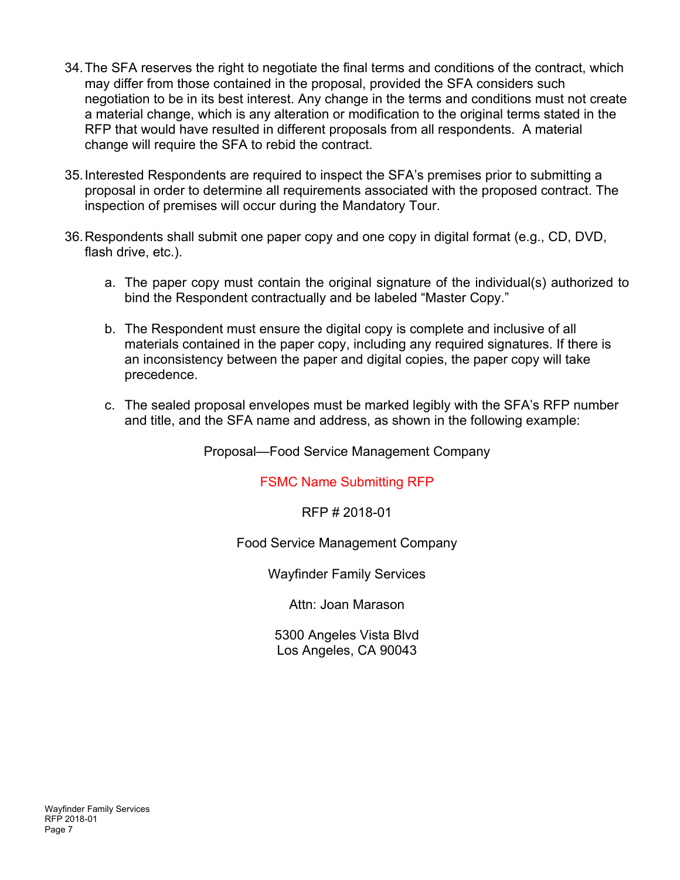- 34. The SFA reserves the right to negotiate the final terms and conditions of the contract, which may differ from those contained in the proposal, provided the SFA considers such negotiation to be in its best interest. Any change in the terms and conditions must not create a material change, which is any alteration or modification to the original terms stated in the RFP that would have resulted in different proposals from all respondents. A material change will require the SFA to rebid the contract.
- 35. Interested Respondents are required to inspect the SFA's premises prior to submitting a proposal in order to determine all requirements associated with the proposed contract. The inspection of premises will occur during the Mandatory Tour.
- 36. Respondents shall submit one paper copy and one copy in digital format (e.g., CD, DVD, flash drive, etc.).
	- a. The paper copy must contain the original signature of the individual(s) authorized to bind the Respondent contractually and be labeled "Master Copy."
	- b. The Respondent must ensure the digital copy is complete and inclusive of all materials contained in the paper copy, including any required signatures. If there is an inconsistency between the paper and digital copies, the paper copy will take precedence.
	- c. The sealed proposal envelopes must be marked legibly with the SFA's RFP number and title, and the SFA name and address, as shown in the following example:

Proposal—Food Service Management Company

FSMC Name Submitting RFP

RFP # 2018-01

Food Service Management Company

Wayfinder Family Services

Attn: Joan Marason

5300 Angeles Vista Blvd Los Angeles, CA 90043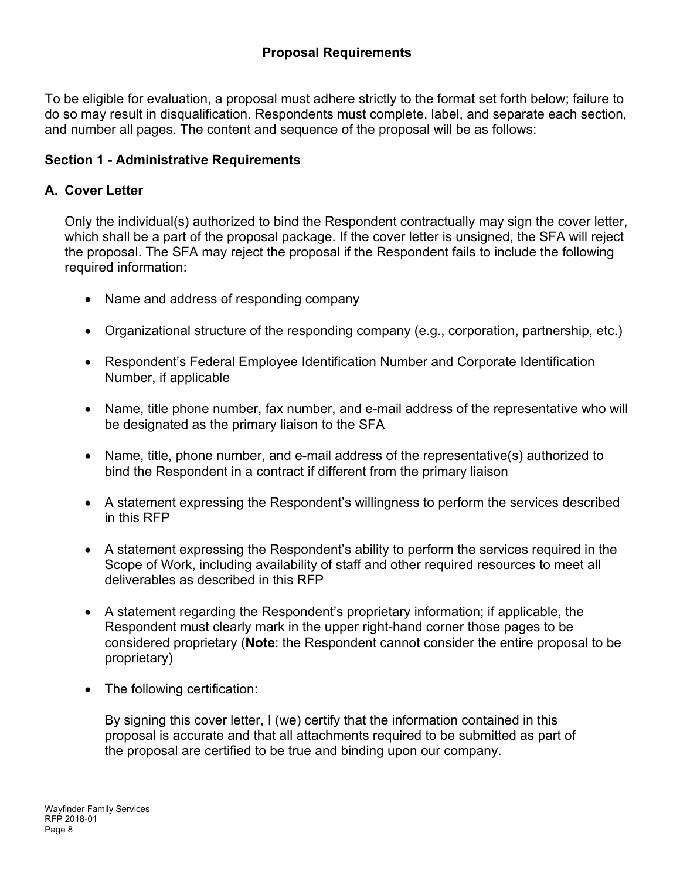To be eligible for evaluation, a proposal must adhere strictly to the format set forth below; failure to do so may result in disqualification. Respondents must complete, label, and separate each section, and number all pages. The content and sequence of the proposal will be as follows:

# **Section 1 - Administrative Requirements**

# **A. Cover Letter**

Only the individual(s) authorized to bind the Respondent contractually may sign the cover letter, which shall be a part of the proposal package. If the cover letter is unsigned, the SFA will reject the proposal. The SFA may reject the proposal if the Respondent fails to include the following required information:

- Name and address of responding company
- Organizational structure of the responding company (e.g., corporation, partnership, etc.)
- Respondent's Federal Employee Identification Number and Corporate Identification Number, if applicable
- Name, title phone number, fax number, and e-mail address of the representative who will be designated as the primary liaison to the SFA
- Name, title, phone number, and e-mail address of the representative(s) authorized to bind the Respondent in a contract if different from the primary liaison
- A statement expressing the Respondent's willingness to perform the services described in this RFP
- A statement expressing the Respondent's ability to perform the services required in the Scope of Work, including availability of staff and other required resources to meet all deliverables as described in this RFP
- A statement regarding the Respondent's proprietary information; if applicable, the Respondent must clearly mark in the upper right-hand corner those pages to be considered proprietary (**Note**: the Respondent cannot consider the entire proposal to be proprietary)
- The following certification:

By signing this cover letter, I (we) certify that the information contained in this proposal is accurate and that all attachments required to be submitted as part of the proposal are certified to be true and binding upon our company.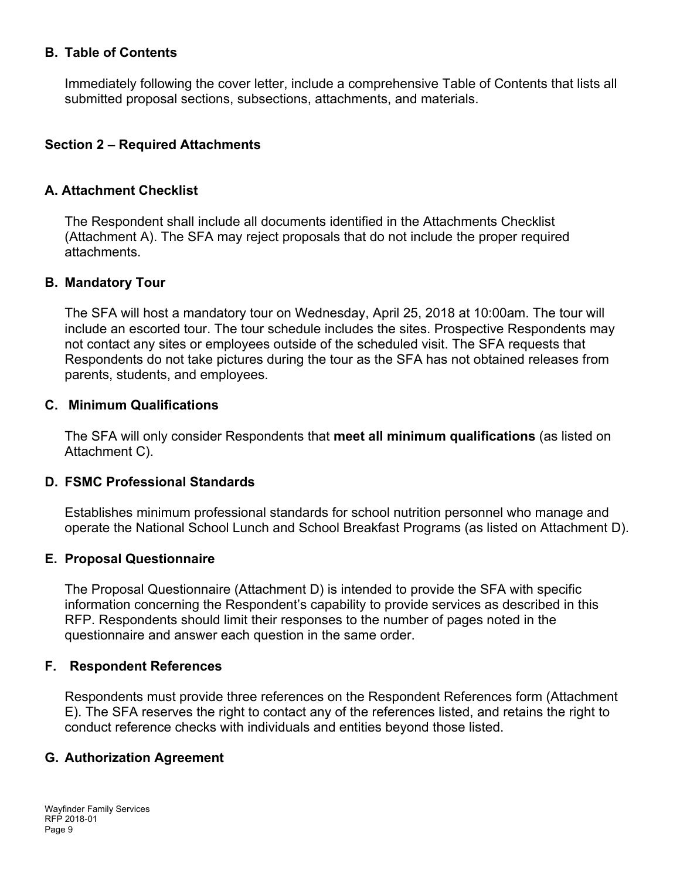#### **B. Table of Contents**

Immediately following the cover letter, include a comprehensive Table of Contents that lists all submitted proposal sections, subsections, attachments, and materials.

#### **Section 2 – Required Attachments**

#### **A. Attachment Checklist**

The Respondent shall include all documents identified in the Attachments Checklist (Attachment A). The SFA may reject proposals that do not include the proper required attachments.

#### **B. Mandatory Tour**

The SFA will host a mandatory tour on Wednesday, April 25, 2018 at 10:00am. The tour will include an escorted tour. The tour schedule includes the sites. Prospective Respondents may not contact any sites or employees outside of the scheduled visit. The SFA requests that Respondents do not take pictures during the tour as the SFA has not obtained releases from parents, students, and employees.

#### **C. Minimum Qualifications**

The SFA will only consider Respondents that **meet all minimum qualifications** (as listed on Attachment C).

#### **D. FSMC Professional Standards**

Establishes minimum professional standards for school nutrition personnel who manage and operate the National School Lunch and School Breakfast Programs (as listed on Attachment D).

#### **E. Proposal Questionnaire**

The Proposal Questionnaire (Attachment D) is intended to provide the SFA with specific information concerning the Respondent's capability to provide services as described in this RFP. Respondents should limit their responses to the number of pages noted in the questionnaire and answer each question in the same order.

#### **F. Respondent References**

Respondents must provide three references on the Respondent References form (Attachment E). The SFA reserves the right to contact any of the references listed, and retains the right to conduct reference checks with individuals and entities beyond those listed.

#### **G. Authorization Agreement**

Wayfinder Family Services RFP 2018-01 Page 9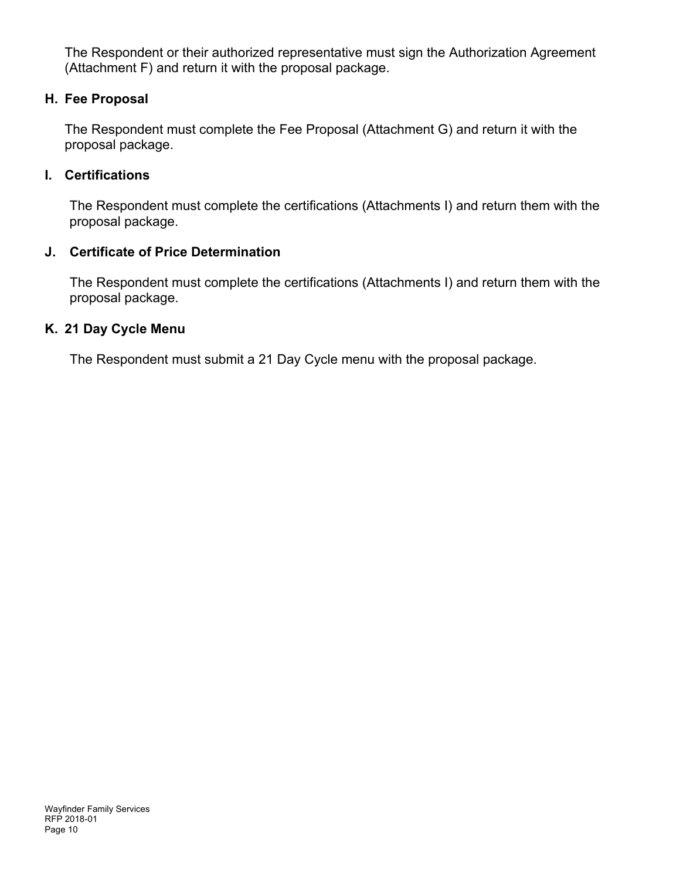The Respondent or their authorized representative must sign the Authorization Agreement (Attachment F) and return it with the proposal package.

### **H. Fee Proposal**

The Respondent must complete the Fee Proposal (Attachment G) and return it with the proposal package.

### **I. Certifications**

The Respondent must complete the certifications (Attachments I) and return them with the proposal package.

## **J. Certificate of Price Determination**

The Respondent must complete the certifications (Attachments I) and return them with the proposal package.

## **K. 21 Day Cycle Menu**

The Respondent must submit a 21 Day Cycle menu with the proposal package.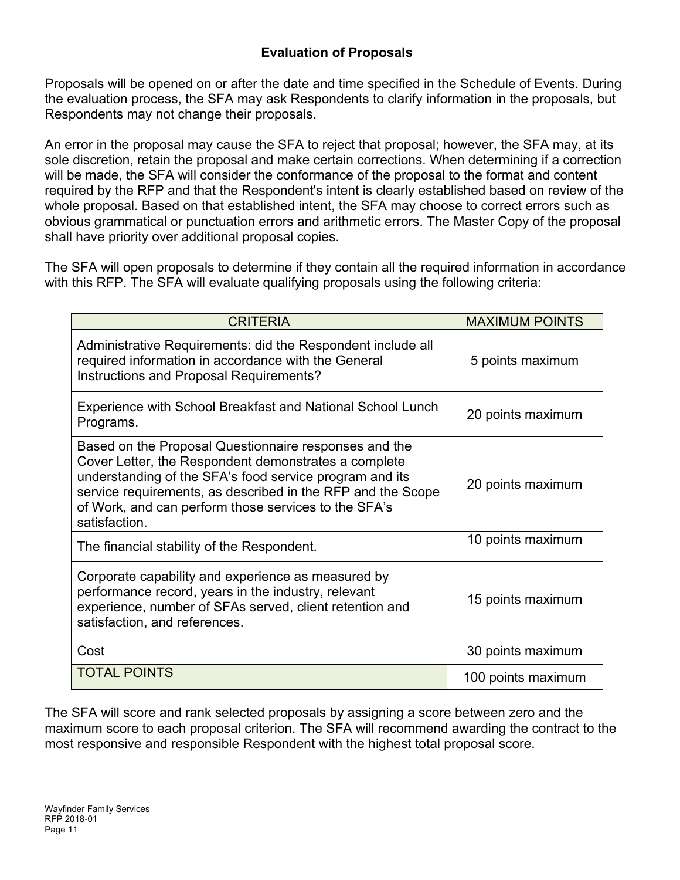Proposals will be opened on or after the date and time specified in the Schedule of Events. During the evaluation process, the SFA may ask Respondents to clarify information in the proposals, but Respondents may not change their proposals.

An error in the proposal may cause the SFA to reject that proposal; however, the SFA may, at its sole discretion, retain the proposal and make certain corrections. When determining if a correction will be made, the SFA will consider the conformance of the proposal to the format and content required by the RFP and that the Respondent's intent is clearly established based on review of the whole proposal. Based on that established intent, the SFA may choose to correct errors such as obvious grammatical or punctuation errors and arithmetic errors. The Master Copy of the proposal shall have priority over additional proposal copies.

The SFA will open proposals to determine if they contain all the required information in accordance with this RFP. The SFA will evaluate qualifying proposals using the following criteria:

| <b>CRITERIA</b>                                                                                                                                                                                                                                                                                                  | <b>MAXIMUM POINTS</b> |
|------------------------------------------------------------------------------------------------------------------------------------------------------------------------------------------------------------------------------------------------------------------------------------------------------------------|-----------------------|
| Administrative Requirements: did the Respondent include all<br>required information in accordance with the General<br>Instructions and Proposal Requirements?                                                                                                                                                    | 5 points maximum      |
| Experience with School Breakfast and National School Lunch<br>Programs.                                                                                                                                                                                                                                          | 20 points maximum     |
| Based on the Proposal Questionnaire responses and the<br>Cover Letter, the Respondent demonstrates a complete<br>understanding of the SFA's food service program and its<br>service requirements, as described in the RFP and the Scope<br>of Work, and can perform those services to the SFA's<br>satisfaction. | 20 points maximum     |
| The financial stability of the Respondent.                                                                                                                                                                                                                                                                       | 10 points maximum     |
| Corporate capability and experience as measured by<br>performance record, years in the industry, relevant<br>experience, number of SFAs served, client retention and<br>satisfaction, and references.                                                                                                            | 15 points maximum     |
| Cost                                                                                                                                                                                                                                                                                                             | 30 points maximum     |
| <b>TOTAL POINTS</b>                                                                                                                                                                                                                                                                                              | 100 points maximum    |

The SFA will score and rank selected proposals by assigning a score between zero and the maximum score to each proposal criterion. The SFA will recommend awarding the contract to the most responsive and responsible Respondent with the highest total proposal score.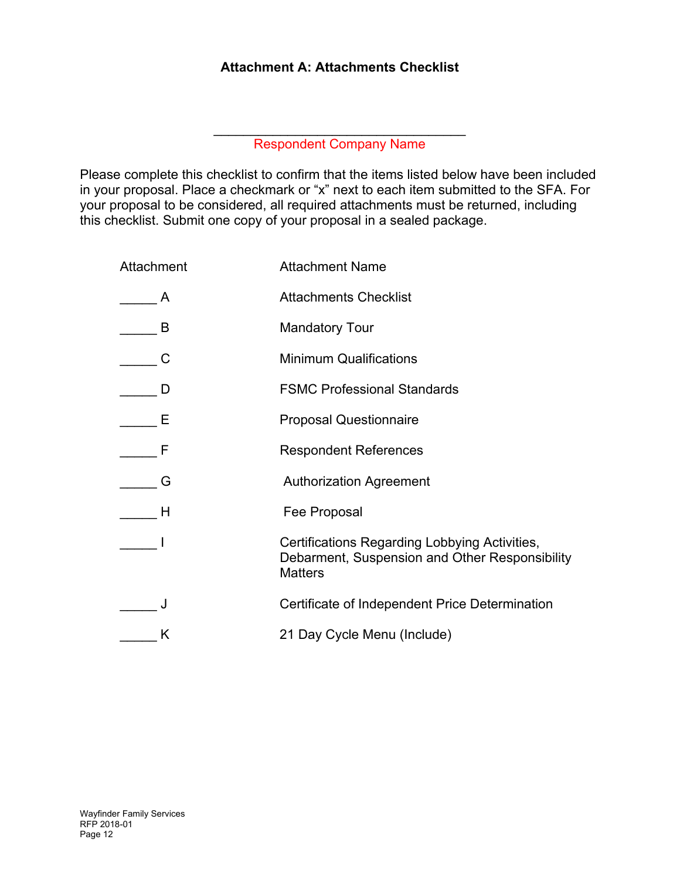# **Attachment A: Attachments Checklist**

 $\mathcal{L}_\text{max}$  , and the set of the set of the set of the set of the set of the set of the set of the set of the set of the set of the set of the set of the set of the set of the set of the set of the set of the set of the Respondent Company Name

Please complete this checklist to confirm that the items listed below have been included in your proposal. Place a checkmark or "x" next to each item submitted to the SFA. For your proposal to be considered, all required attachments must be returned, including this checklist. Submit one copy of your proposal in a sealed package.

| Attachment | <b>Attachment Name</b>                                                                                            |
|------------|-------------------------------------------------------------------------------------------------------------------|
|            | <b>Attachments Checklist</b>                                                                                      |
| B          | <b>Mandatory Tour</b>                                                                                             |
|            | <b>Minimum Qualifications</b>                                                                                     |
|            | <b>FSMC Professional Standards</b>                                                                                |
| Е          | <b>Proposal Questionnaire</b>                                                                                     |
|            | <b>Respondent References</b>                                                                                      |
| G          | <b>Authorization Agreement</b>                                                                                    |
| Н          | Fee Proposal                                                                                                      |
|            | Certifications Regarding Lobbying Activities,<br>Debarment, Suspension and Other Responsibility<br><b>Matters</b> |
|            | Certificate of Independent Price Determination                                                                    |
| K          | 21 Day Cycle Menu (Include)                                                                                       |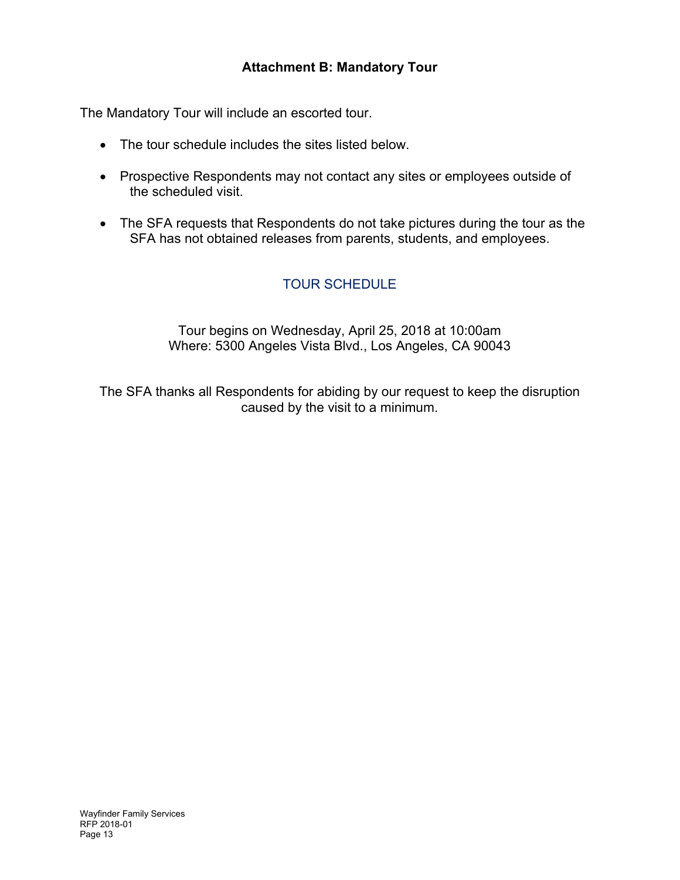# **Attachment B: Mandatory Tour**

The Mandatory Tour will include an escorted tour.

- The tour schedule includes the sites listed below.
- Prospective Respondents may not contact any sites or employees outside of the scheduled visit.
- The SFA requests that Respondents do not take pictures during the tour as the SFA has not obtained releases from parents, students, and employees.

# TOUR SCHEDULE

Tour begins on Wednesday, April 25, 2018 at 10:00am Where: 5300 Angeles Vista Blvd., Los Angeles, CA 90043

The SFA thanks all Respondents for abiding by our request to keep the disruption caused by the visit to a minimum.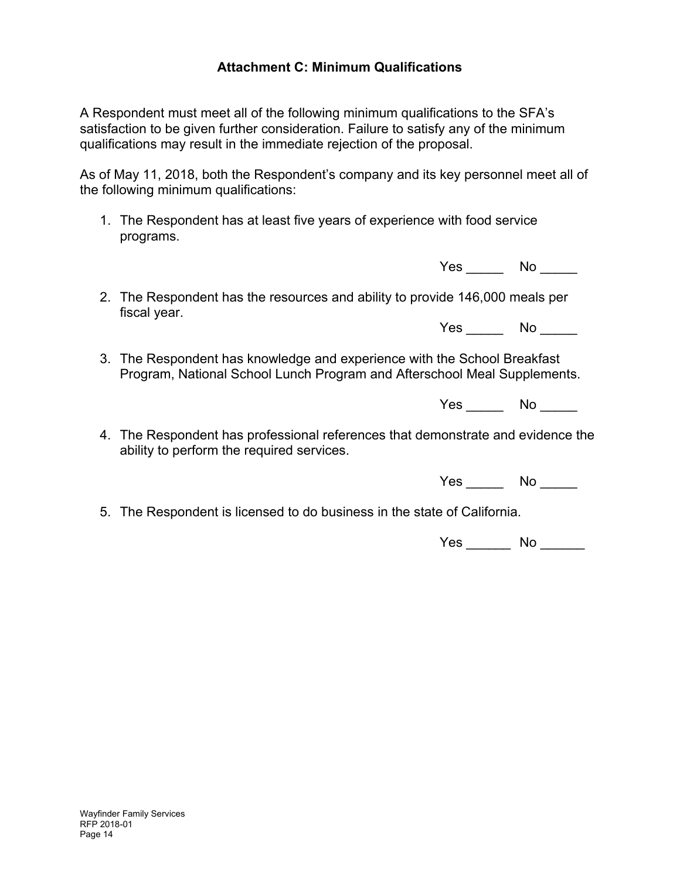# **Attachment C: Minimum Qualifications**

A Respondent must meet all of the following minimum qualifications to the SFA's satisfaction to be given further consideration. Failure to satisfy any of the minimum qualifications may result in the immediate rejection of the proposal.

As of May 11, 2018, both the Respondent's company and its key personnel meet all of the following minimum qualifications:

1. The Respondent has at least five years of experience with food service programs.

Yes No

2. The Respondent has the resources and ability to provide 146,000 meals per fiscal year.

Yes No

3. The Respondent has knowledge and experience with the School Breakfast Program, National School Lunch Program and Afterschool Meal Supplements.

Yes No

4. The Respondent has professional references that demonstrate and evidence the ability to perform the required services.

Yes No No

5. The Respondent is licensed to do business in the state of California.

Yes \_\_\_\_\_\_\_\_ No \_\_\_\_\_\_\_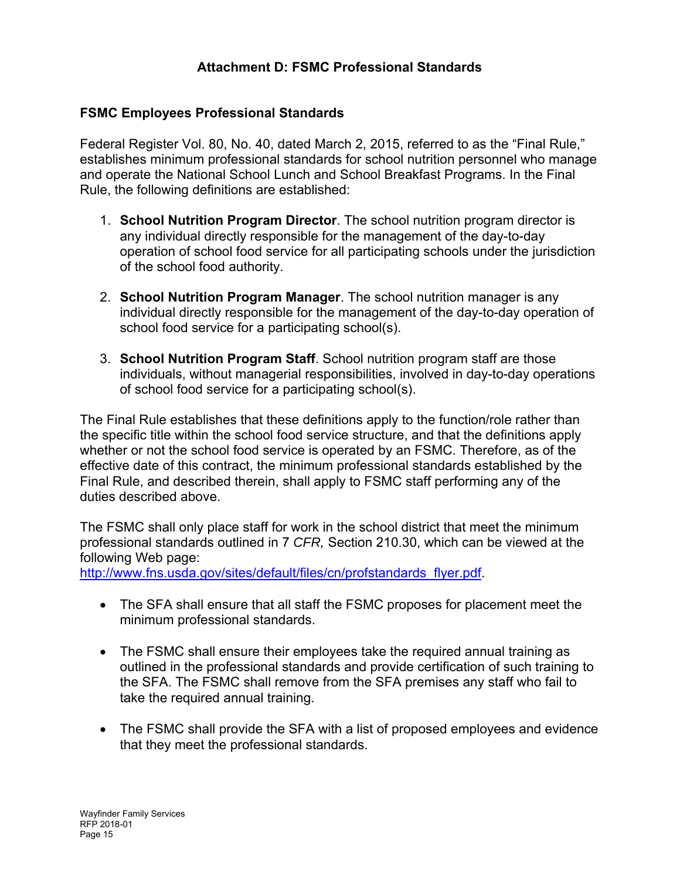# **Attachment D: FSMC Professional Standards**

# **FSMC Employees Professional Standards**

Federal Register Vol. 80, No. 40, dated March 2, 2015, referred to as the "Final Rule," establishes minimum professional standards for school nutrition personnel who manage and operate the National School Lunch and School Breakfast Programs. In the Final Rule, the following definitions are established:

- 1. **School Nutrition Program Director**. The school nutrition program director is any individual directly responsible for the management of the day-to-day operation of school food service for all participating schools under the jurisdiction of the school food authority.
- 2. **School Nutrition Program Manager**. The school nutrition manager is any individual directly responsible for the management of the day-to-day operation of school food service for a participating school(s).
- 3. **School Nutrition Program Staff**. School nutrition program staff are those individuals, without managerial responsibilities, involved in day-to-day operations of school food service for a participating school(s).

The Final Rule establishes that these definitions apply to the function/role rather than the specific title within the school food service structure, and that the definitions apply whether or not the school food service is operated by an FSMC. Therefore, as of the effective date of this contract, the minimum professional standards established by the Final Rule, and described therein, shall apply to FSMC staff performing any of the duties described above.

The FSMC shall only place staff for work in the school district that meet the minimum professional standards outlined in 7 *CFR,* Section 210.30, which can be viewed at the following Web page:

http://www.fns.usda.gov/sites/default/files/cn/profstandards\_flyer.pdf.

- The SFA shall ensure that all staff the FSMC proposes for placement meet the minimum professional standards.
- The FSMC shall ensure their employees take the required annual training as outlined in the professional standards and provide certification of such training to the SFA. The FSMC shall remove from the SFA premises any staff who fail to take the required annual training.
- The FSMC shall provide the SFA with a list of proposed employees and evidence that they meet the professional standards.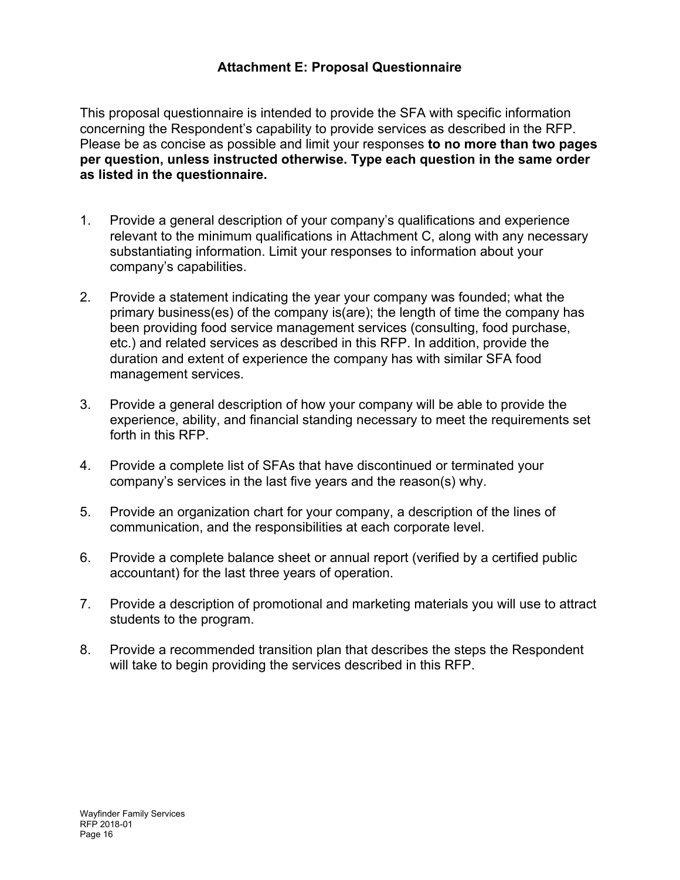# **Attachment E: Proposal Questionnaire**

This proposal questionnaire is intended to provide the SFA with specific information concerning the Respondent's capability to provide services as described in the RFP. Please be as concise as possible and limit your responses **to no more than two pages per question, unless instructed otherwise. Type each question in the same order as listed in the questionnaire.** 

- 1. Provide a general description of your company's qualifications and experience relevant to the minimum qualifications in Attachment C, along with any necessary substantiating information. Limit your responses to information about your company's capabilities.
- 2. Provide a statement indicating the year your company was founded; what the primary business(es) of the company is(are); the length of time the company has been providing food service management services (consulting, food purchase, etc.) and related services as described in this RFP. In addition, provide the duration and extent of experience the company has with similar SFA food management services.
- 3. Provide a general description of how your company will be able to provide the experience, ability, and financial standing necessary to meet the requirements set forth in this RFP.
- 4. Provide a complete list of SFAs that have discontinued or terminated your company's services in the last five years and the reason(s) why.
- 5. Provide an organization chart for your company, a description of the lines of communication, and the responsibilities at each corporate level.
- 6. Provide a complete balance sheet or annual report (verified by a certified public accountant) for the last three years of operation.
- 7. Provide a description of promotional and marketing materials you will use to attract students to the program.
- 8. Provide a recommended transition plan that describes the steps the Respondent will take to begin providing the services described in this RFP.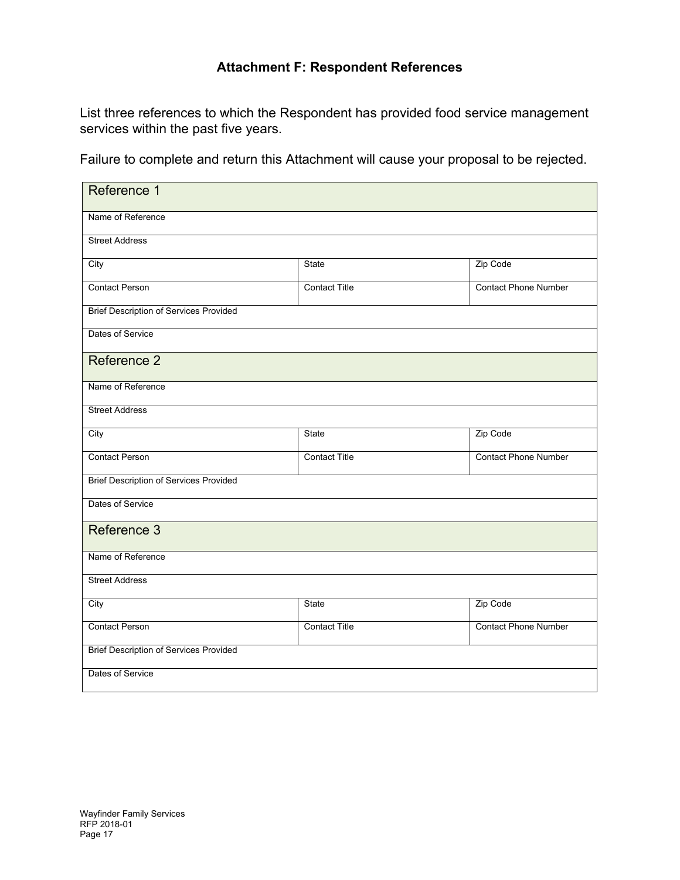# **Attachment F: Respondent References**

List three references to which the Respondent has provided food service management services within the past five years.

Failure to complete and return this Attachment will cause your proposal to be rejected.

| Reference 1                                   |                      |                             |  |
|-----------------------------------------------|----------------------|-----------------------------|--|
| Name of Reference                             |                      |                             |  |
| <b>Street Address</b>                         |                      |                             |  |
| City                                          | State                | Zip Code                    |  |
| <b>Contact Person</b>                         | <b>Contact Title</b> | <b>Contact Phone Number</b> |  |
| <b>Brief Description of Services Provided</b> |                      |                             |  |
| Dates of Service                              |                      |                             |  |
| Reference 2                                   |                      |                             |  |
| Name of Reference                             |                      |                             |  |
| <b>Street Address</b>                         |                      |                             |  |
| City                                          | State                | Zip Code                    |  |
| <b>Contact Person</b>                         | <b>Contact Title</b> | <b>Contact Phone Number</b> |  |
| <b>Brief Description of Services Provided</b> |                      |                             |  |
| Dates of Service                              |                      |                             |  |
| Reference 3                                   |                      |                             |  |
| Name of Reference                             |                      |                             |  |
| <b>Street Address</b>                         |                      |                             |  |
| City                                          | State                | Zip Code                    |  |
| <b>Contact Person</b>                         | <b>Contact Title</b> | <b>Contact Phone Number</b> |  |
| <b>Brief Description of Services Provided</b> |                      |                             |  |
| Dates of Service                              |                      |                             |  |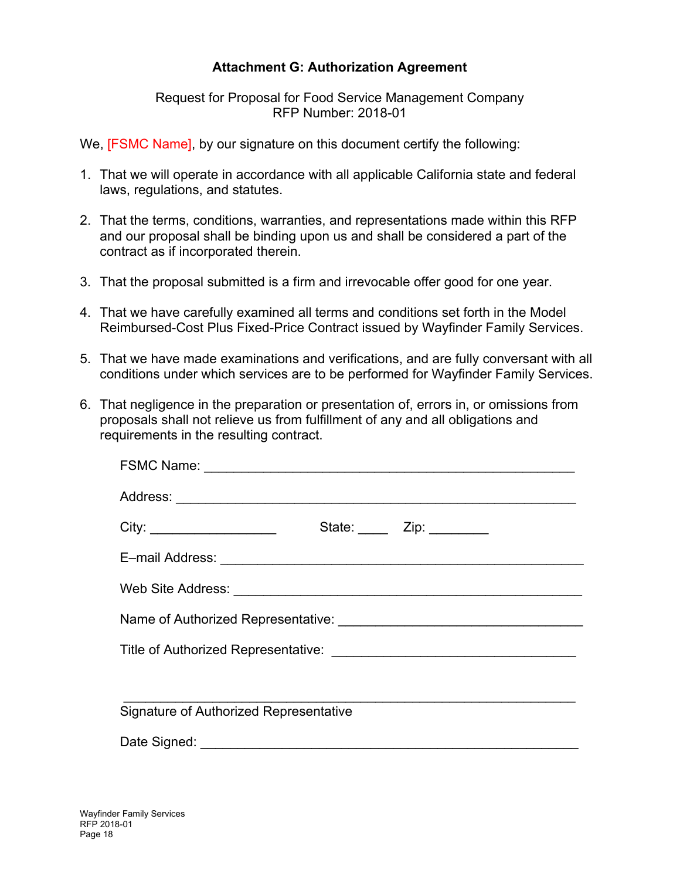# **Attachment G: Authorization Agreement**

#### Request for Proposal for Food Service Management Company RFP Number: 2018-01

We, **[FSMC Name]**, by our signature on this document certify the following:

- 1. That we will operate in accordance with all applicable California state and federal laws, regulations, and statutes.
- 2. That the terms, conditions, warranties, and representations made within this RFP and our proposal shall be binding upon us and shall be considered a part of the contract as if incorporated therein.
- 3. That the proposal submitted is a firm and irrevocable offer good for one year.
- 4. That we have carefully examined all terms and conditions set forth in the Model Reimbursed-Cost Plus Fixed-Price Contract issued by Wayfinder Family Services.
- 5. That we have made examinations and verifications, and are fully conversant with all conditions under which services are to be performed for Wayfinder Family Services.
- 6. That negligence in the preparation or presentation of, errors in, or omissions from proposals shall not relieve us from fulfillment of any and all obligations and requirements in the resulting contract.

| <b>Signature of Authorized Representative</b> |  |  |  |  |
|-----------------------------------------------|--|--|--|--|
|                                               |  |  |  |  |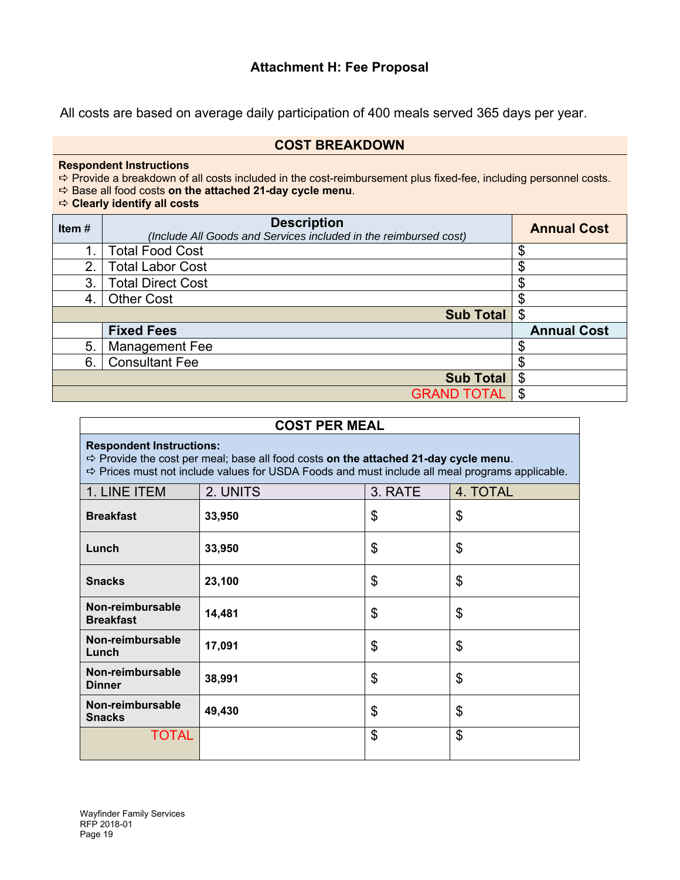# **Attachment H: Fee Proposal**

All costs are based on average daily participation of 400 meals served 365 days per year.

#### **COST BREAKDOWN**

#### **Respondent Instructions**

 $\Rightarrow$  Provide a breakdown of all costs included in the cost-reimbursement plus fixed-fee, including personnel costs.

Base all food costs **on the attached 21-day cycle menu**.

#### **Clearly identify all costs**

| Item# | <b>Description</b><br>(Include All Goods and Services included in the reimbursed cost) |                    |
|-------|----------------------------------------------------------------------------------------|--------------------|
| 1.    | <b>Total Food Cost</b>                                                                 | \$                 |
| 2.    | <b>Total Labor Cost</b>                                                                | ጦ<br>ъĐ            |
| 3.    | <b>Total Direct Cost</b>                                                               | ጥ<br>ъĐ            |
| 4.    | <b>Other Cost</b>                                                                      | σ<br>Œ             |
|       | <b>Sub Total</b>                                                                       | \$                 |
|       | <b>Fixed Fees</b>                                                                      | <b>Annual Cost</b> |
| 5.    | Management Fee                                                                         | Œ                  |
| 6.    | <b>Consultant Fee</b>                                                                  | S                  |
|       | <b>Sub Total</b>                                                                       | \$                 |
|       | <b>GRAND TOTAL</b>                                                                     |                    |

#### **COST PER MEAL**

#### **Respondent Instructions:**

Provide the cost per meal; base all food costs **on the attached 21-day cycle menu**.

 $\Rightarrow$  Prices must not include values for USDA Foods and must include all meal programs applicable.

| 1. LINE ITEM                         | 2. UNITS | 3. RATE | 4. TOTAL |
|--------------------------------------|----------|---------|----------|
| <b>Breakfast</b>                     | 33,950   | \$      | \$       |
| Lunch                                | 33,950   | \$      | \$       |
| <b>Snacks</b>                        | 23,100   | \$      | \$       |
| Non-reimbursable<br><b>Breakfast</b> | 14,481   | \$      | \$       |
| Non-reimbursable<br>Lunch            | 17,091   | \$      | \$       |
| Non-reimbursable<br><b>Dinner</b>    | 38,991   | \$      | \$       |
| Non-reimbursable<br><b>Snacks</b>    | 49,430   | \$      | \$       |
| <b>TOTAL</b>                         |          | \$      | \$       |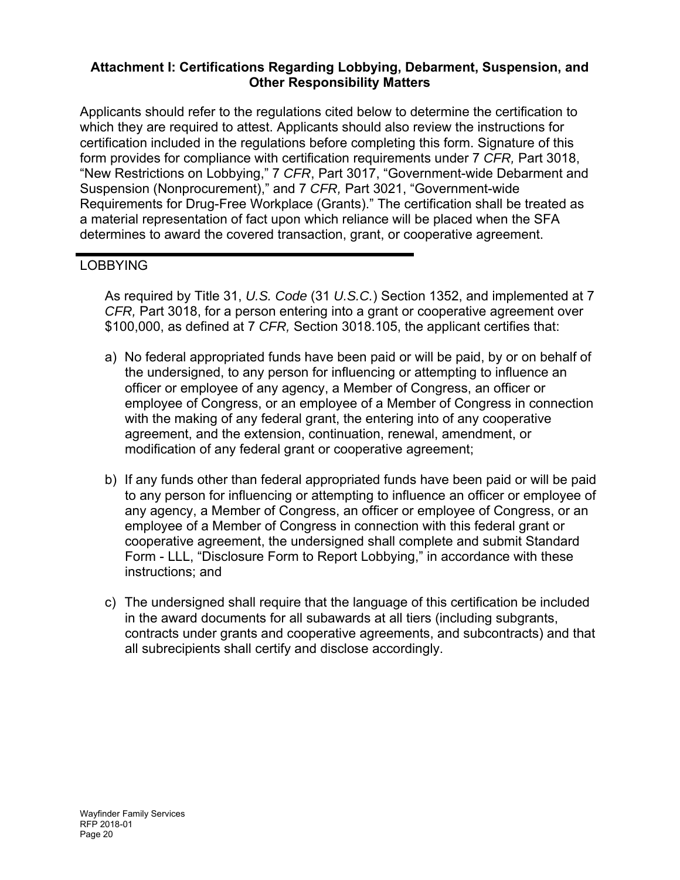# **Attachment I: Certifications Regarding Lobbying, Debarment, Suspension, and Other Responsibility Matters**

Applicants should refer to the regulations cited below to determine the certification to which they are required to attest. Applicants should also review the instructions for certification included in the regulations before completing this form. Signature of this form provides for compliance with certification requirements under 7 *CFR,* Part 3018, "New Restrictions on Lobbying," 7 *CFR*, Part 3017, "Government-wide Debarment and Suspension (Nonprocurement)," and 7 *CFR,* Part 3021, "Government-wide Requirements for Drug-Free Workplace (Grants)." The certification shall be treated as a material representation of fact upon which reliance will be placed when the SFA determines to award the covered transaction, grant, or cooperative agreement.

# LOBBYING

As required by Title 31, *U.S. Code* (31 *U.S.C.*) Section 1352, and implemented at 7 *CFR,* Part 3018, for a person entering into a grant or cooperative agreement over \$100,000, as defined at 7 *CFR,* Section 3018.105, the applicant certifies that:

- a) No federal appropriated funds have been paid or will be paid, by or on behalf of the undersigned, to any person for influencing or attempting to influence an officer or employee of any agency, a Member of Congress, an officer or employee of Congress, or an employee of a Member of Congress in connection with the making of any federal grant, the entering into of any cooperative agreement, and the extension, continuation, renewal, amendment, or modification of any federal grant or cooperative agreement;
- b) If any funds other than federal appropriated funds have been paid or will be paid to any person for influencing or attempting to influence an officer or employee of any agency, a Member of Congress, an officer or employee of Congress, or an employee of a Member of Congress in connection with this federal grant or cooperative agreement, the undersigned shall complete and submit Standard Form - LLL, "Disclosure Form to Report Lobbying," in accordance with these instructions; and
- c) The undersigned shall require that the language of this certification be included in the award documents for all subawards at all tiers (including subgrants, contracts under grants and cooperative agreements, and subcontracts) and that all subrecipients shall certify and disclose accordingly.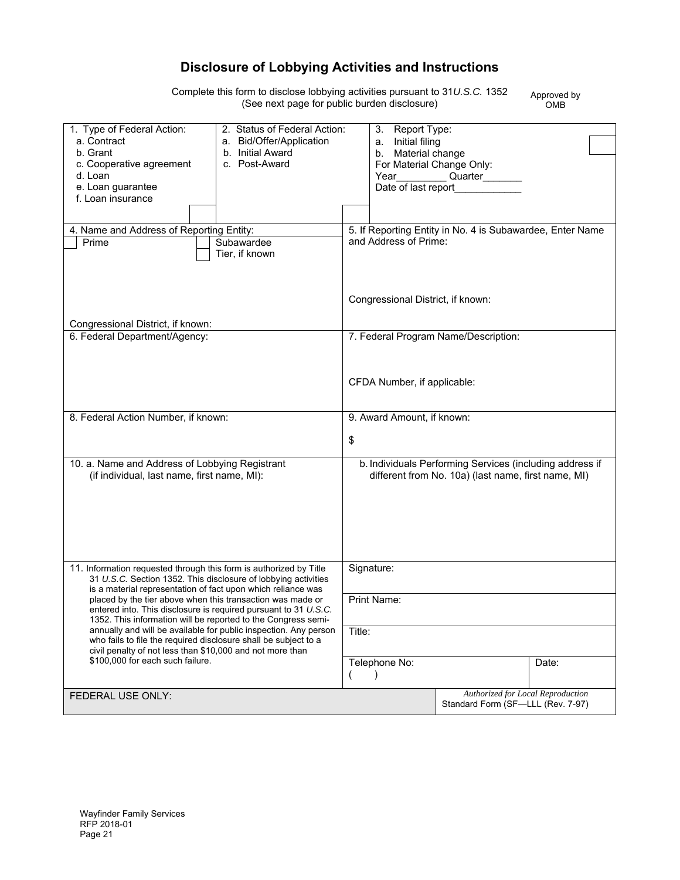# **Disclosure of Lobbying Activities and Instructions**

Complete this form to disclose lobbying activities pursuant to 31*U.S.C.* 1352 (See next page for public burden disclosure)

Approved by OMB

| 1. Type of Federal Action:                                                                                                       | 2. Status of Federal Action: |        | 3. Report Type:                   |                                                           |       |
|----------------------------------------------------------------------------------------------------------------------------------|------------------------------|--------|-----------------------------------|-----------------------------------------------------------|-------|
| a. Contract                                                                                                                      | a. Bid/Offer/Application     |        | a. Initial filing                 |                                                           |       |
| b. Grant                                                                                                                         | b. Initial Award             |        | b. Material change                |                                                           |       |
| c. Cooperative agreement                                                                                                         | c. Post-Award                |        | For Material Change Only:         |                                                           |       |
| d. Loan                                                                                                                          |                              |        | Year                              | Quarter___                                                |       |
| e. Loan guarantee                                                                                                                |                              |        | Date of last report               |                                                           |       |
| f. Loan insurance                                                                                                                |                              |        |                                   |                                                           |       |
|                                                                                                                                  |                              |        |                                   |                                                           |       |
| 4. Name and Address of Reporting Entity:                                                                                         |                              |        |                                   | 5. If Reporting Entity in No. 4 is Subawardee, Enter Name |       |
| Prime                                                                                                                            | Subawardee                   |        | and Address of Prime:             |                                                           |       |
|                                                                                                                                  | Tier, if known               |        |                                   |                                                           |       |
|                                                                                                                                  |                              |        |                                   |                                                           |       |
|                                                                                                                                  |                              |        |                                   |                                                           |       |
|                                                                                                                                  |                              |        |                                   |                                                           |       |
|                                                                                                                                  |                              |        | Congressional District, if known: |                                                           |       |
|                                                                                                                                  |                              |        |                                   |                                                           |       |
| Congressional District, if known:                                                                                                |                              |        |                                   |                                                           |       |
| 6. Federal Department/Agency:                                                                                                    |                              |        |                                   | 7. Federal Program Name/Description:                      |       |
|                                                                                                                                  |                              |        |                                   |                                                           |       |
|                                                                                                                                  |                              |        |                                   |                                                           |       |
|                                                                                                                                  |                              |        | CFDA Number, if applicable:       |                                                           |       |
|                                                                                                                                  |                              |        |                                   |                                                           |       |
|                                                                                                                                  |                              |        |                                   |                                                           |       |
| 8. Federal Action Number, if known:                                                                                              |                              |        | 9. Award Amount, if known:        |                                                           |       |
|                                                                                                                                  |                              |        |                                   |                                                           |       |
|                                                                                                                                  |                              | \$     |                                   |                                                           |       |
|                                                                                                                                  |                              |        |                                   |                                                           |       |
| 10. a. Name and Address of Lobbying Registrant                                                                                   |                              |        |                                   | b. Individuals Performing Services (including address if  |       |
| (if individual, last name, first name, MI):                                                                                      |                              |        |                                   | different from No. 10a) (last name, first name, MI)       |       |
|                                                                                                                                  |                              |        |                                   |                                                           |       |
|                                                                                                                                  |                              |        |                                   |                                                           |       |
|                                                                                                                                  |                              |        |                                   |                                                           |       |
|                                                                                                                                  |                              |        |                                   |                                                           |       |
|                                                                                                                                  |                              |        |                                   |                                                           |       |
|                                                                                                                                  |                              |        |                                   |                                                           |       |
| 11. Information requested through this form is authorized by Title                                                               |                              |        | Signature:                        |                                                           |       |
| 31 U.S.C. Section 1352. This disclosure of lobbying activities                                                                   |                              |        |                                   |                                                           |       |
| is a material representation of fact upon which reliance was                                                                     |                              |        |                                   |                                                           |       |
| placed by the tier above when this transaction was made or                                                                       |                              |        | Print Name:                       |                                                           |       |
| entered into. This disclosure is required pursuant to 31 U.S.C.<br>1352. This information will be reported to the Congress semi- |                              |        |                                   |                                                           |       |
| annually and will be available for public inspection. Any person                                                                 |                              | Title: |                                   |                                                           |       |
| who fails to file the required disclosure shall be subject to a                                                                  |                              |        |                                   |                                                           |       |
| civil penalty of not less than \$10,000 and not more than                                                                        |                              |        |                                   |                                                           |       |
| \$100,000 for each such failure.                                                                                                 |                              |        | Telephone No:                     |                                                           | Date: |
|                                                                                                                                  |                              |        |                                   |                                                           |       |
| FEDERAL USE ONLY:                                                                                                                |                              |        |                                   | Authorized for Local Reproduction                         |       |
|                                                                                                                                  |                              |        |                                   | Standard Form (SF-LLL (Rev. 7-97)                         |       |
|                                                                                                                                  |                              |        |                                   |                                                           |       |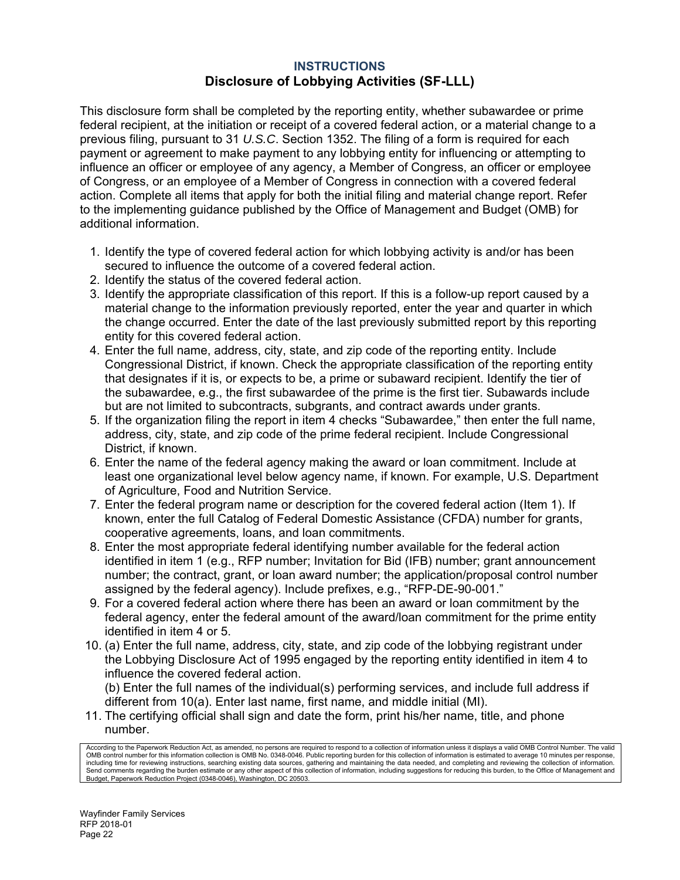#### **INSTRUCTIONS Disclosure of Lobbying Activities (SF-LLL)**

This disclosure form shall be completed by the reporting entity, whether subawardee or prime federal recipient, at the initiation or receipt of a covered federal action, or a material change to a previous filing, pursuant to 31 *U.S.C*. Section 1352. The filing of a form is required for each payment or agreement to make payment to any lobbying entity for influencing or attempting to influence an officer or employee of any agency, a Member of Congress, an officer or employee of Congress, or an employee of a Member of Congress in connection with a covered federal action. Complete all items that apply for both the initial filing and material change report. Refer to the implementing guidance published by the Office of Management and Budget (OMB) for additional information.

- 1. Identify the type of covered federal action for which lobbying activity is and/or has been secured to influence the outcome of a covered federal action.
- 2. Identify the status of the covered federal action.
- 3. Identify the appropriate classification of this report. If this is a follow-up report caused by a material change to the information previously reported, enter the year and quarter in which the change occurred. Enter the date of the last previously submitted report by this reporting entity for this covered federal action.
- 4. Enter the full name, address, city, state, and zip code of the reporting entity. Include Congressional District, if known. Check the appropriate classification of the reporting entity that designates if it is, or expects to be, a prime or subaward recipient. Identify the tier of the subawardee, e.g., the first subawardee of the prime is the first tier. Subawards include but are not limited to subcontracts, subgrants, and contract awards under grants.
- 5. If the organization filing the report in item 4 checks "Subawardee," then enter the full name, address, city, state, and zip code of the prime federal recipient. Include Congressional District, if known.
- 6. Enter the name of the federal agency making the award or loan commitment. Include at least one organizational level below agency name, if known. For example, U.S. Department of Agriculture, Food and Nutrition Service.
- 7. Enter the federal program name or description for the covered federal action (Item 1). If known, enter the full Catalog of Federal Domestic Assistance (CFDA) number for grants, cooperative agreements, loans, and loan commitments.
- 8. Enter the most appropriate federal identifying number available for the federal action identified in item 1 (e.g., RFP number; Invitation for Bid (IFB) number; grant announcement number; the contract, grant, or loan award number; the application/proposal control number assigned by the federal agency). Include prefixes, e.g., "RFP-DE-90-001."
- 9. For a covered federal action where there has been an award or loan commitment by the federal agency, enter the federal amount of the award/loan commitment for the prime entity identified in item 4 or 5.
- 10. (a) Enter the full name, address, city, state, and zip code of the lobbying registrant under the Lobbying Disclosure Act of 1995 engaged by the reporting entity identified in item 4 to influence the covered federal action.

(b) Enter the full names of the individual(s) performing services, and include full address if different from 10(a). Enter last name, first name, and middle initial (MI).

11. The certifying official shall sign and date the form, print his/her name, title, and phone number.

cording to the Paperwork Reduction Act, as amended, no persons are required to respond to a collection of information unless it displays a valid OMB Control Number. The valid OMB control number for this information collection is OMB No. 0348-0046. Public reporting burden for this collection of information is estimated to average 10 minutes per response, including time for reviewing instructions, searching existing data sources, gathering and maintaining the data needed, and completing and reviewing the collection of information. Send comments regarding the burden estimate or any other aspect of this collection of information, including suggestions for reducing this burden, to the Office of Management and Budget, Paperwork Reduction Project (0348-0046), Washington, DC 20503.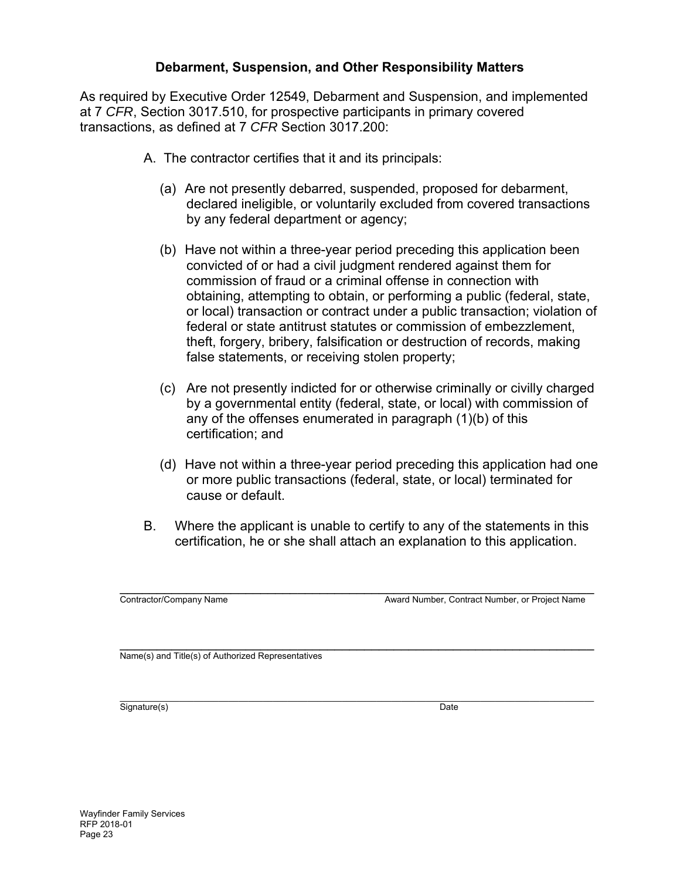### **Debarment, Suspension, and Other Responsibility Matters**

As required by Executive Order 12549, Debarment and Suspension, and implemented at 7 *CFR*, Section 3017.510, for prospective participants in primary covered transactions, as defined at 7 *CFR* Section 3017.200:

- A. The contractor certifies that it and its principals:
	- (a) Are not presently debarred, suspended, proposed for debarment, declared ineligible, or voluntarily excluded from covered transactions by any federal department or agency;
	- (b) Have not within a three-year period preceding this application been convicted of or had a civil judgment rendered against them for commission of fraud or a criminal offense in connection with obtaining, attempting to obtain, or performing a public (federal, state, or local) transaction or contract under a public transaction; violation of federal or state antitrust statutes or commission of embezzlement, theft, forgery, bribery, falsification or destruction of records, making false statements, or receiving stolen property;
	- (c) Are not presently indicted for or otherwise criminally or civilly charged by a governmental entity (federal, state, or local) with commission of any of the offenses enumerated in paragraph (1)(b) of this certification; and
	- (d) Have not within a three-year period preceding this application had one or more public transactions (federal, state, or local) terminated for cause or default.
- B. Where the applicant is unable to certify to any of the statements in this certification, he or she shall attach an explanation to this application.

\_\_\_\_\_\_\_\_\_\_\_\_\_\_\_\_\_\_\_\_\_\_\_\_\_\_\_\_\_\_\_\_\_\_\_\_\_\_\_\_\_\_\_\_\_\_\_\_\_\_\_\_\_\_\_\_\_\_\_\_\_\_\_\_ Contractor/Company Name Award Number, Contract Number, or Project Name

 $\overline{\mathsf{Name}(s)}$  and Title(s) of Authorized Representatives

\_\_\_\_\_\_\_\_\_\_\_\_\_\_\_\_\_\_\_\_\_\_\_\_\_\_\_\_\_\_\_\_\_\_\_\_\_\_\_\_\_\_\_\_\_\_\_\_\_\_\_\_\_\_\_\_\_\_\_\_\_\_\_\_\_\_\_\_\_\_\_\_\_\_\_\_\_\_\_\_\_\_\_\_\_\_\_\_\_\_\_\_\_\_\_\_ Signature(s) Date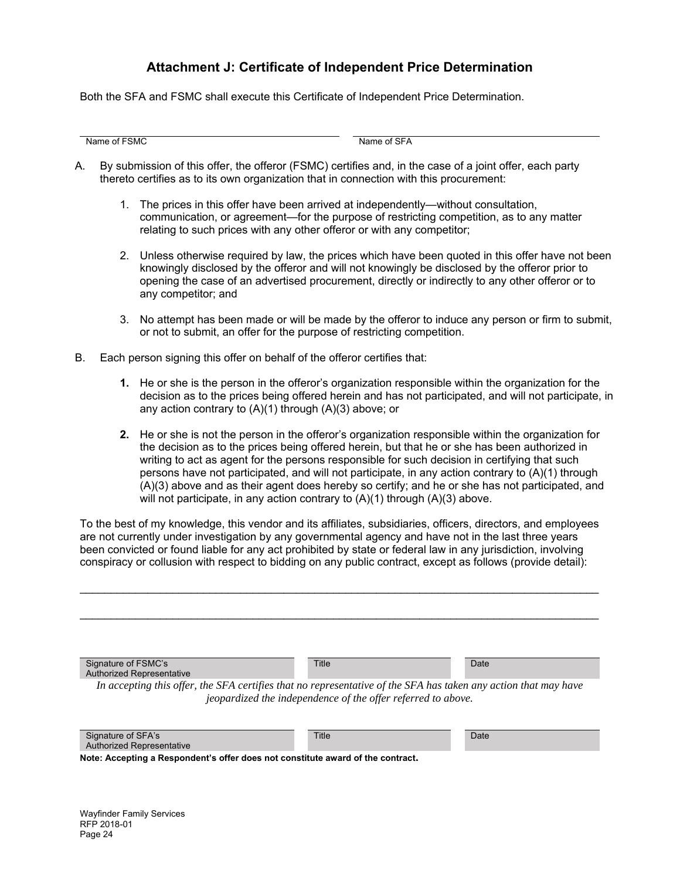### **Attachment J: Certificate of Independent Price Determination**

Both the SFA and FSMC shall execute this Certificate of Independent Price Determination.

Name of FSMC Name of SFA

- A. By submission of this offer, the offeror (FSMC) certifies and, in the case of a joint offer, each party thereto certifies as to its own organization that in connection with this procurement:
	- 1. The prices in this offer have been arrived at independently—without consultation, communication, or agreement—for the purpose of restricting competition, as to any matter relating to such prices with any other offeror or with any competitor;
	- 2. Unless otherwise required by law, the prices which have been quoted in this offer have not been knowingly disclosed by the offeror and will not knowingly be disclosed by the offeror prior to opening the case of an advertised procurement, directly or indirectly to any other offeror or to any competitor; and
	- 3. No attempt has been made or will be made by the offeror to induce any person or firm to submit, or not to submit, an offer for the purpose of restricting competition.
- B. Each person signing this offer on behalf of the offeror certifies that:
	- **1.** He or she is the person in the offeror's organization responsible within the organization for the decision as to the prices being offered herein and has not participated, and will not participate, in any action contrary to (A)(1) through (A)(3) above; or
	- **2.** He or she is not the person in the offeror's organization responsible within the organization for the decision as to the prices being offered herein, but that he or she has been authorized in writing to act as agent for the persons responsible for such decision in certifying that such persons have not participated, and will not participate, in any action contrary to (A)(1) through (A)(3) above and as their agent does hereby so certify; and he or she has not participated, and will not participate, in any action contrary to  $(A)(1)$  through  $(A)(3)$  above.

To the best of my knowledge, this vendor and its affiliates, subsidiaries, officers, directors, and employees are not currently under investigation by any governmental agency and have not in the last three years been convicted or found liable for any act prohibited by state or federal law in any jurisdiction, involving conspiracy or collusion with respect to bidding on any public contract, except as follows (provide detail):

| Signature of FSMC's                                                                                             | Title | Date |  |  |
|-----------------------------------------------------------------------------------------------------------------|-------|------|--|--|
| <b>Authorized Representative</b>                                                                                |       |      |  |  |
|                                                                                                                 |       |      |  |  |
| In accepting this offer, the SFA certifies that no representative of the SFA has taken any action that may have |       |      |  |  |
| jeopardized the independence of the offer referred to above.                                                    |       |      |  |  |
|                                                                                                                 |       |      |  |  |
|                                                                                                                 |       |      |  |  |
| Signature of SFA's                                                                                              | Title | Date |  |  |
| <b>Authorized Representative</b>                                                                                |       |      |  |  |
| Note: Accepting a Respondent's offer does not constitute award of the contract.                                 |       |      |  |  |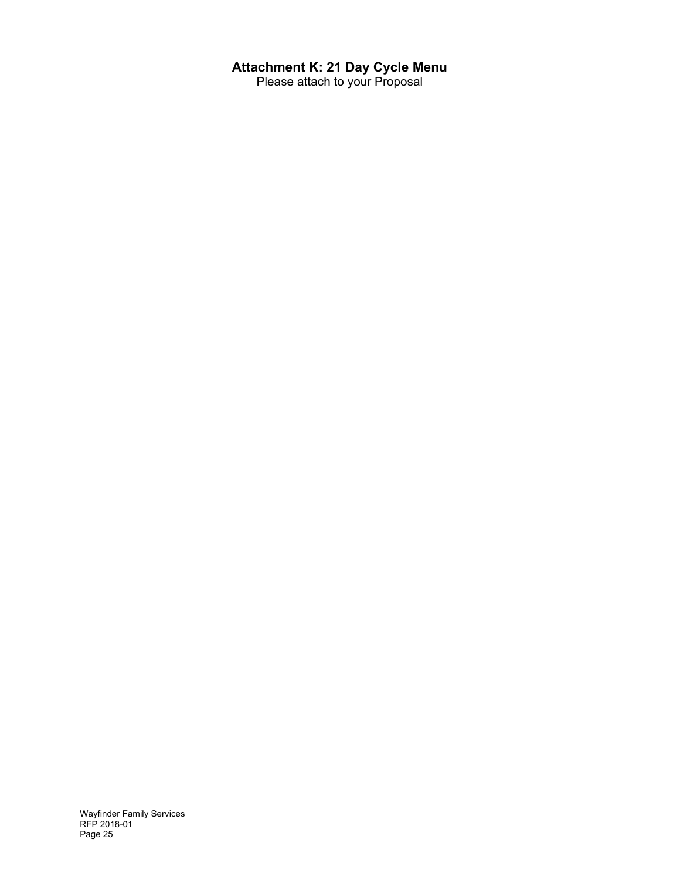# **Attachment K: 21 Day Cycle Menu**

Please attach to your Proposal

Wayfinder Family Services RFP 2018-01 Page 25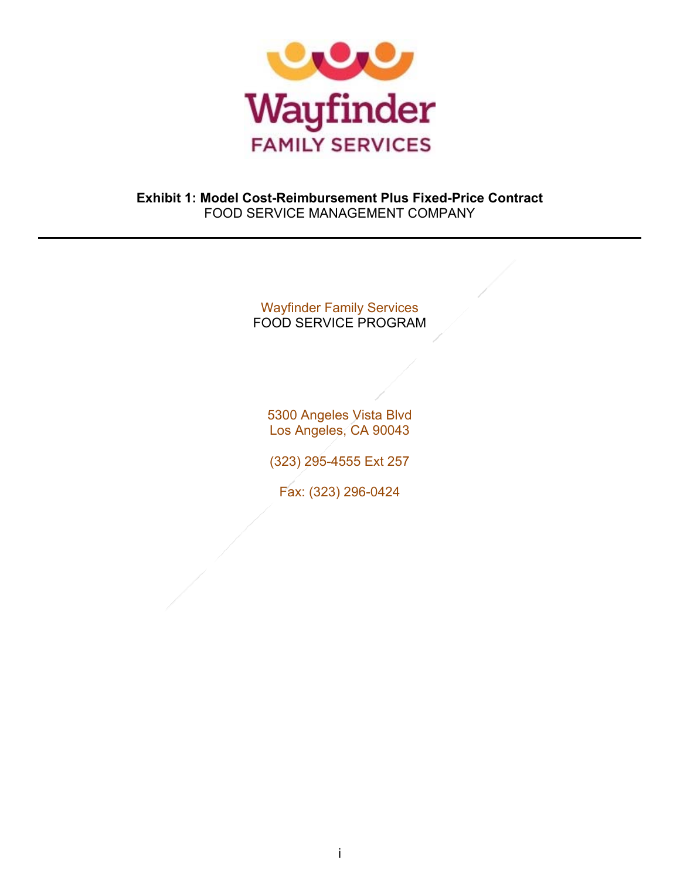

## **Exhibit 1: Model Cost-Reimbursement Plus Fixed-Price Contract**  FOOD SERVICE MANAGEMENT COMPANY

# Wayfinder Family Services FOOD SERVICE PROGRAM

5300 Angeles Vista Blvd Los Angeles, CA 90043

(323) 295-4555 Ext 257

Fax: (323) 296-0424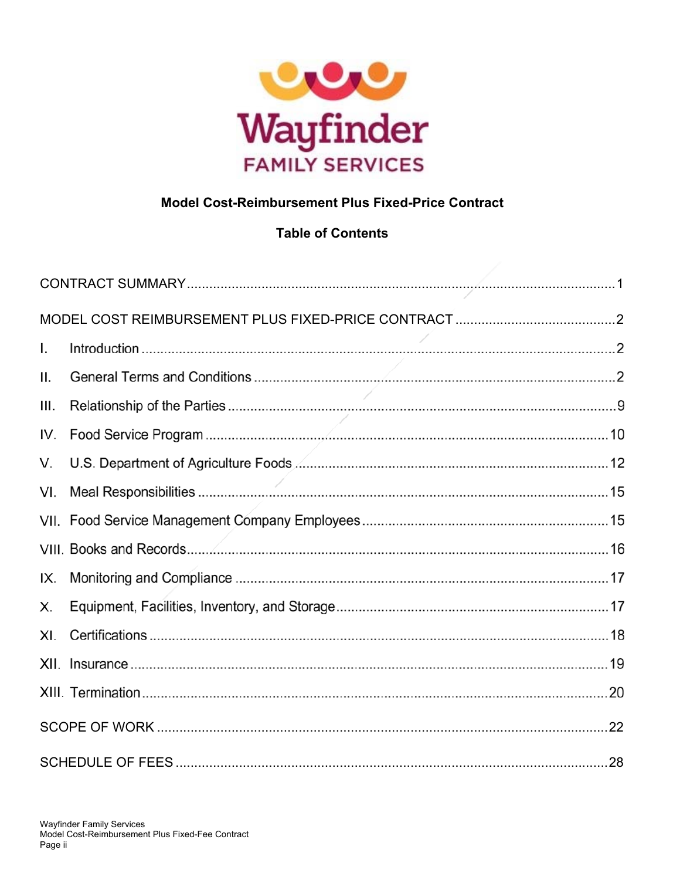

# **Model Cost-Reimbursement Plus Fixed-Price Contract**

# **Table of Contents**

| L.   |                          |  |
|------|--------------------------|--|
| ΙΙ.  |                          |  |
| III. | $\overline{\phantom{a}}$ |  |
| IV.  |                          |  |
| V.   |                          |  |
| VI.  |                          |  |
|      |                          |  |
|      |                          |  |
| IX.  |                          |  |
| Х.   |                          |  |
| XI.  |                          |  |
|      |                          |  |
|      |                          |  |
|      |                          |  |
|      |                          |  |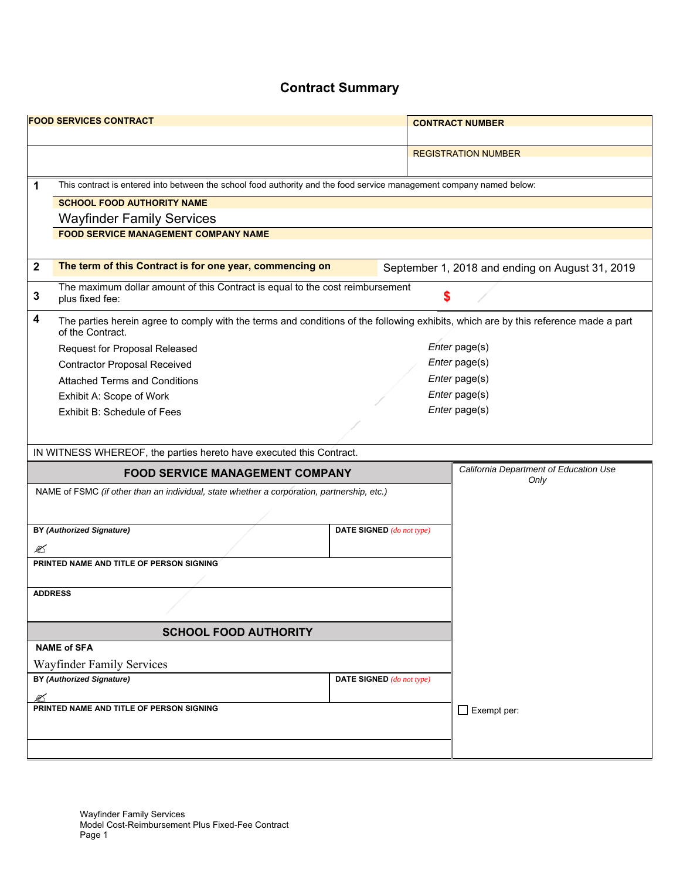# **Contract Summary**

|                              | <b>FOOD SERVICES CONTRACT</b>                                                                                                                           |                                  | <b>CONTRACT NUMBER</b>                          |
|------------------------------|---------------------------------------------------------------------------------------------------------------------------------------------------------|----------------------------------|-------------------------------------------------|
|                              |                                                                                                                                                         |                                  |                                                 |
|                              |                                                                                                                                                         |                                  | <b>REGISTRATION NUMBER</b>                      |
|                              |                                                                                                                                                         |                                  |                                                 |
| 1                            | This contract is entered into between the school food authority and the food service management company named below:                                    |                                  |                                                 |
|                              | <b>SCHOOL FOOD AUTHORITY NAME</b>                                                                                                                       |                                  |                                                 |
|                              | <b>Wayfinder Family Services</b>                                                                                                                        |                                  |                                                 |
|                              | <b>FOOD SERVICE MANAGEMENT COMPANY NAME</b>                                                                                                             |                                  |                                                 |
|                              |                                                                                                                                                         |                                  |                                                 |
| $\mathbf 2$                  | The term of this Contract is for one year, commencing on                                                                                                |                                  | September 1, 2018 and ending on August 31, 2019 |
| 3                            | The maximum dollar amount of this Contract is equal to the cost reimbursement<br>plus fixed fee:                                                        |                                  | \$                                              |
| 4                            | The parties herein agree to comply with the terms and conditions of the following exhibits, which are by this reference made a part<br>of the Contract. |                                  |                                                 |
|                              | Request for Proposal Released                                                                                                                           |                                  | Enter page(s)                                   |
|                              | <b>Contractor Proposal Received</b>                                                                                                                     |                                  | Enter page(s)                                   |
|                              | <b>Attached Terms and Conditions</b>                                                                                                                    |                                  | Enter page(s)                                   |
|                              | Exhibit A: Scope of Work                                                                                                                                |                                  | Enter page(s)                                   |
|                              | Exhibit B: Schedule of Fees                                                                                                                             |                                  | Enter page(s)                                   |
|                              |                                                                                                                                                         |                                  |                                                 |
|                              | IN WITNESS WHEREOF, the parties hereto have executed this Contract.                                                                                     |                                  |                                                 |
|                              | <b>FOOD SERVICE MANAGEMENT COMPANY</b>                                                                                                                  |                                  | California Department of Education Use          |
|                              | NAME of FSMC (if other than an individual, state whether a corporation, partnership, etc.)                                                              |                                  | Only                                            |
|                              |                                                                                                                                                         |                                  |                                                 |
|                              |                                                                                                                                                         |                                  |                                                 |
|                              | <b>BY (Authorized Signature)</b>                                                                                                                        | DATE SIGNED (do not type)        |                                                 |
| ☎                            |                                                                                                                                                         |                                  |                                                 |
|                              | PRINTED NAME AND TITLE OF PERSON SIGNING                                                                                                                |                                  |                                                 |
|                              |                                                                                                                                                         |                                  |                                                 |
| <b>ADDRESS</b>               |                                                                                                                                                         |                                  |                                                 |
|                              |                                                                                                                                                         |                                  |                                                 |
| <b>SCHOOL FOOD AUTHORITY</b> |                                                                                                                                                         |                                  |                                                 |
| <b>NAME of SFA</b>           |                                                                                                                                                         |                                  |                                                 |
|                              | Wayfinder Family Services                                                                                                                               |                                  |                                                 |
|                              | <b>BY (Authorized Signature)</b>                                                                                                                        | <b>DATE SIGNED</b> (do not type) |                                                 |
| ✍                            |                                                                                                                                                         |                                  |                                                 |
|                              | PRINTED NAME AND TITLE OF PERSON SIGNING                                                                                                                |                                  | $\Box$ Exempt per:                              |
|                              |                                                                                                                                                         |                                  |                                                 |
|                              |                                                                                                                                                         |                                  |                                                 |
|                              |                                                                                                                                                         |                                  |                                                 |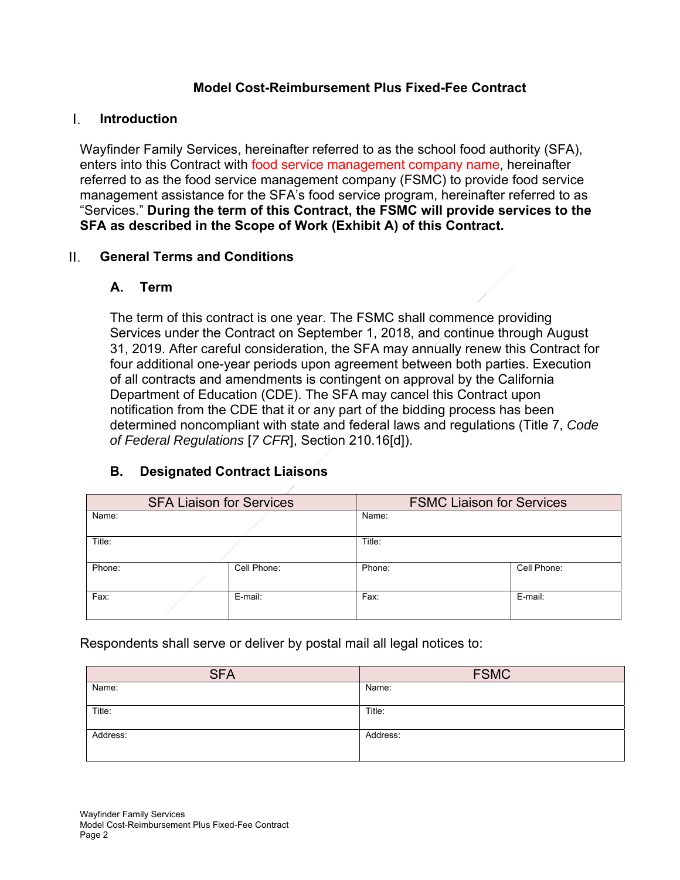## **Model Cost-Reimbursement Plus Fixed-Fee Contract**

#### L. **Introduction**

Wayfinder Family Services, hereinafter referred to as the school food authority (SFA), enters into this Contract with food service management company name, hereinafter referred to as the food service management company (FSMC) to provide food service management assistance for the SFA's food service program, hereinafter referred to as "Services." **During the term of this Contract, the FSMC will provide services to the SFA as described in the Scope of Work (Exhibit A) of this Contract.** 

#### **General Terms and Conditions**  Ш.

## **A. Term**

The term of this contract is one year. The FSMC shall commence providing Services under the Contract on September 1, 2018, and continue through August 31, 2019. After careful consideration, the SFA may annually renew this Contract for four additional one-year periods upon agreement between both parties. Execution of all contracts and amendments is contingent on approval by the California Department of Education (CDE). The SFA may cancel this Contract upon notification from the CDE that it or any part of the bidding process has been determined noncompliant with state and federal laws and regulations (Title 7, *Code of Federal Regulations* [*7 CFR*], Section 210.16[d]).

# **B. Designated Contract Liaisons**

| <b>SFA Liaison for Services</b> |  |             | <b>FSMC Liaison for Services</b> |             |  |
|---------------------------------|--|-------------|----------------------------------|-------------|--|
| Name:                           |  |             | Name:                            |             |  |
| Title:                          |  |             | Title:                           |             |  |
| Phone:                          |  | Cell Phone: | Phone:                           | Cell Phone: |  |
| Fax:                            |  | E-mail:     | Fax:                             | E-mail:     |  |

Respondents shall serve or deliver by postal mail all legal notices to:

| <b>SFA</b> | <b>FSMC</b> |
|------------|-------------|
| Name:      | Name:       |
| Title:     | Title:      |
| Address:   | Address:    |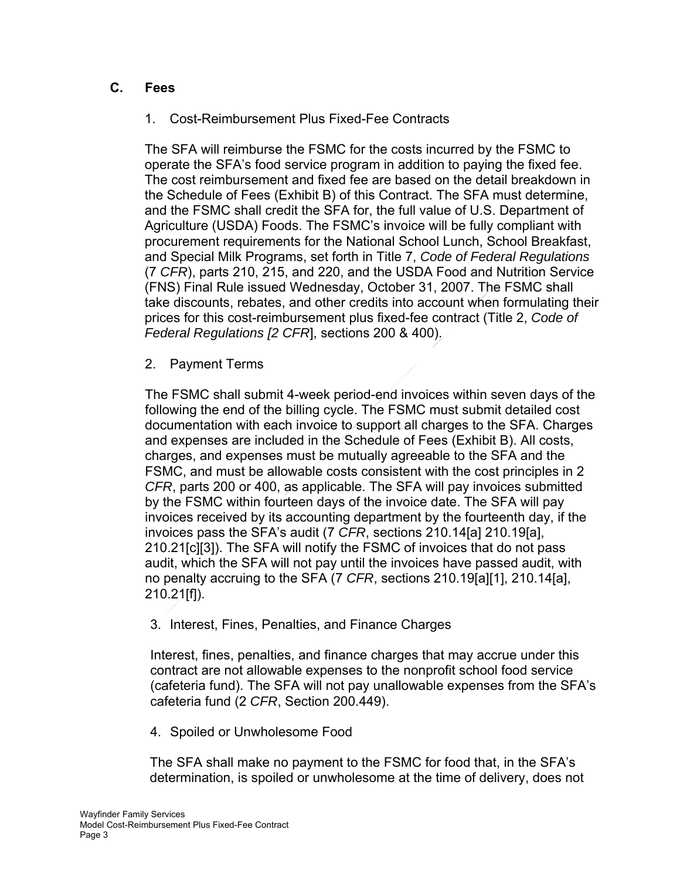# **C. Fees**

# 1. Cost-Reimbursement Plus Fixed-Fee Contracts

The SFA will reimburse the FSMC for the costs incurred by the FSMC to operate the SFA's food service program in addition to paying the fixed fee. The cost reimbursement and fixed fee are based on the detail breakdown in the Schedule of Fees (Exhibit B) of this Contract. The SFA must determine, and the FSMC shall credit the SFA for, the full value of U.S. Department of Agriculture (USDA) Foods. The FSMC's invoice will be fully compliant with procurement requirements for the National School Lunch, School Breakfast, and Special Milk Programs, set forth in Title 7, *Code of Federal Regulations* (7 *CFR*), parts 210, 215, and 220, and the USDA Food and Nutrition Service (FNS) Final Rule issued Wednesday, October 31, 2007. The FSMC shall take discounts, rebates, and other credits into account when formulating their prices for this cost-reimbursement plus fixed-fee contract (Title 2, *Code of Federal Regulations [2 CFR*], sections 200 & 400).

2. Payment Terms

The FSMC shall submit 4-week period-end invoices within seven days of the following the end of the billing cycle. The FSMC must submit detailed cost documentation with each invoice to support all charges to the SFA. Charges and expenses are included in the Schedule of Fees (Exhibit B). All costs, charges, and expenses must be mutually agreeable to the SFA and the FSMC, and must be allowable costs consistent with the cost principles in 2 *CFR*, parts 200 or 400, as applicable. The SFA will pay invoices submitted by the FSMC within fourteen days of the invoice date. The SFA will pay invoices received by its accounting department by the fourteenth day, if the invoices pass the SFA's audit (7 *CFR*, sections 210.14[a] 210.19[a], 210.21[c][3]). The SFA will notify the FSMC of invoices that do not pass audit, which the SFA will not pay until the invoices have passed audit, with no penalty accruing to the SFA (7 *CFR*, sections 210.19[a][1], 210.14[a], 210.21[f]).

3. Interest, Fines, Penalties, and Finance Charges

Interest, fines, penalties, and finance charges that may accrue under this contract are not allowable expenses to the nonprofit school food service (cafeteria fund). The SFA will not pay unallowable expenses from the SFA's cafeteria fund (2 *CFR*, Section 200.449).

4. Spoiled or Unwholesome Food

The SFA shall make no payment to the FSMC for food that, in the SFA's determination, is spoiled or unwholesome at the time of delivery, does not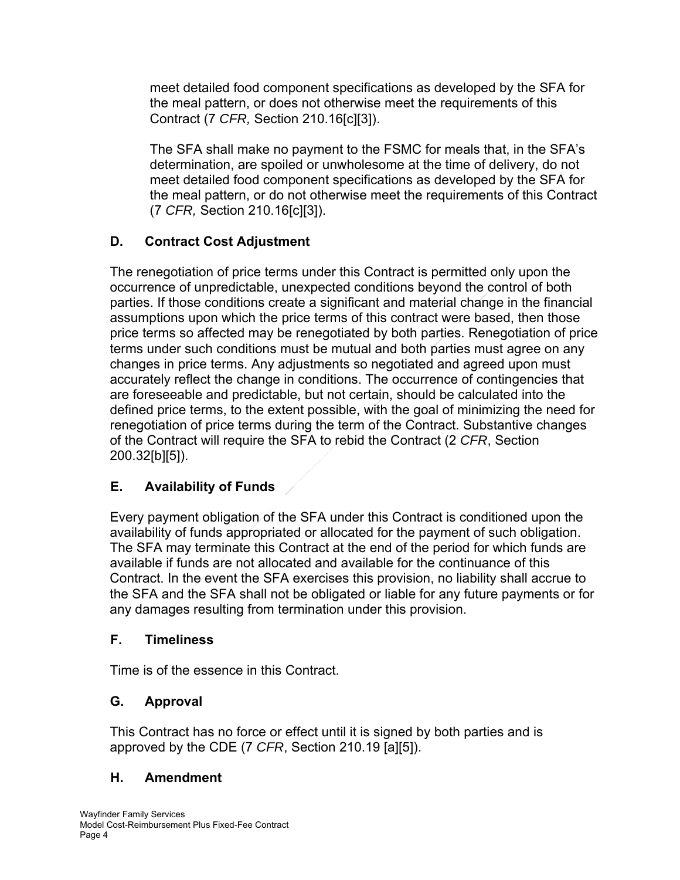meet detailed food component specifications as developed by the SFA for the meal pattern, or does not otherwise meet the requirements of this Contract (7 *CFR,* Section 210.16[c][3]).

The SFA shall make no payment to the FSMC for meals that, in the SFA's determination, are spoiled or unwholesome at the time of delivery, do not meet detailed food component specifications as developed by the SFA for the meal pattern, or do not otherwise meet the requirements of this Contract (7 *CFR,* Section 210.16[c][3]).

# **D. Contract Cost Adjustment**

The renegotiation of price terms under this Contract is permitted only upon the occurrence of unpredictable, unexpected conditions beyond the control of both parties. If those conditions create a significant and material change in the financial assumptions upon which the price terms of this contract were based, then those price terms so affected may be renegotiated by both parties. Renegotiation of price terms under such conditions must be mutual and both parties must agree on any changes in price terms. Any adjustments so negotiated and agreed upon must accurately reflect the change in conditions. The occurrence of contingencies that are foreseeable and predictable, but not certain, should be calculated into the defined price terms, to the extent possible, with the goal of minimizing the need for renegotiation of price terms during the term of the Contract. Substantive changes of the Contract will require the SFA to rebid the Contract (2 *CFR*, Section 200.32[b][5]).

# **E. Availability of Funds**

Every payment obligation of the SFA under this Contract is conditioned upon the availability of funds appropriated or allocated for the payment of such obligation. The SFA may terminate this Contract at the end of the period for which funds are available if funds are not allocated and available for the continuance of this Contract. In the event the SFA exercises this provision, no liability shall accrue to the SFA and the SFA shall not be obligated or liable for any future payments or for any damages resulting from termination under this provision.

# **F. Timeliness**

Time is of the essence in this Contract.

# **G. Approval**

This Contract has no force or effect until it is signed by both parties and is approved by the CDE (7 *CFR*, Section 210.19 [a][5]).

# **H. Amendment**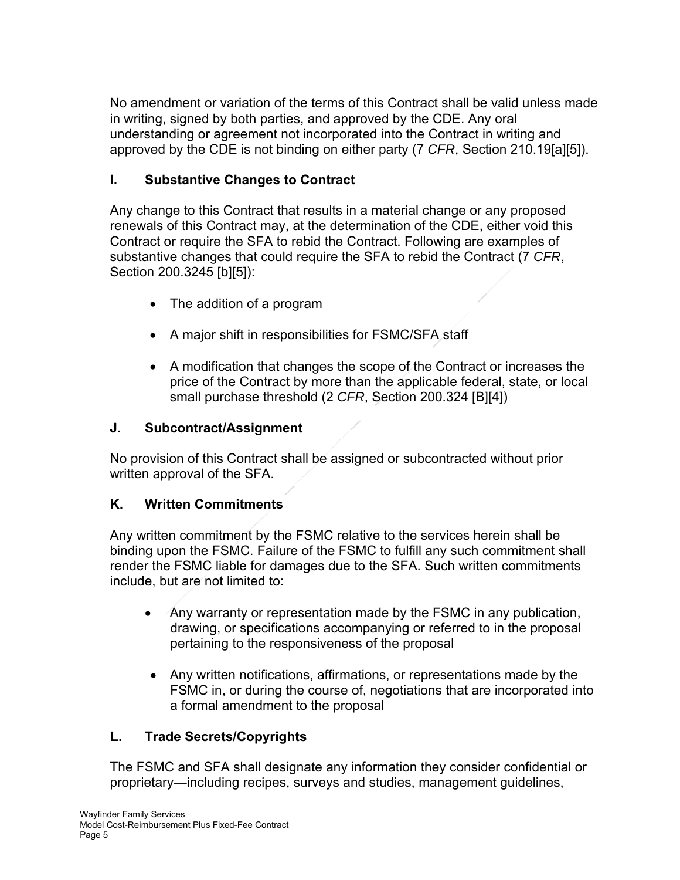No amendment or variation of the terms of this Contract shall be valid unless made in writing, signed by both parties, and approved by the CDE. Any oral understanding or agreement not incorporated into the Contract in writing and approved by the CDE is not binding on either party (7 *CFR*, Section 210.19[a][5]).

# **I. Substantive Changes to Contract**

Any change to this Contract that results in a material change or any proposed renewals of this Contract may, at the determination of the CDE, either void this Contract or require the SFA to rebid the Contract. Following are examples of substantive changes that could require the SFA to rebid the Contract (7 *CFR*, Section 200.3245 [b][5]):

- The addition of a program
- A major shift in responsibilities for FSMC/SFA staff
- A modification that changes the scope of the Contract or increases the price of the Contract by more than the applicable federal, state, or local small purchase threshold (2 *CFR*, Section 200.324 [B][4])

# **J. Subcontract/Assignment**

No provision of this Contract shall be assigned or subcontracted without prior written approval of the SFA.

# **K. Written Commitments**

Any written commitment by the FSMC relative to the services herein shall be binding upon the FSMC. Failure of the FSMC to fulfill any such commitment shall render the FSMC liable for damages due to the SFA. Such written commitments include, but are not limited to:

- Any warranty or representation made by the FSMC in any publication, drawing, or specifications accompanying or referred to in the proposal pertaining to the responsiveness of the proposal
- Any written notifications, affirmations, or representations made by the FSMC in, or during the course of, negotiations that are incorporated into a formal amendment to the proposal

# **L. Trade Secrets/Copyrights**

The FSMC and SFA shall designate any information they consider confidential or proprietary—including recipes, surveys and studies, management guidelines,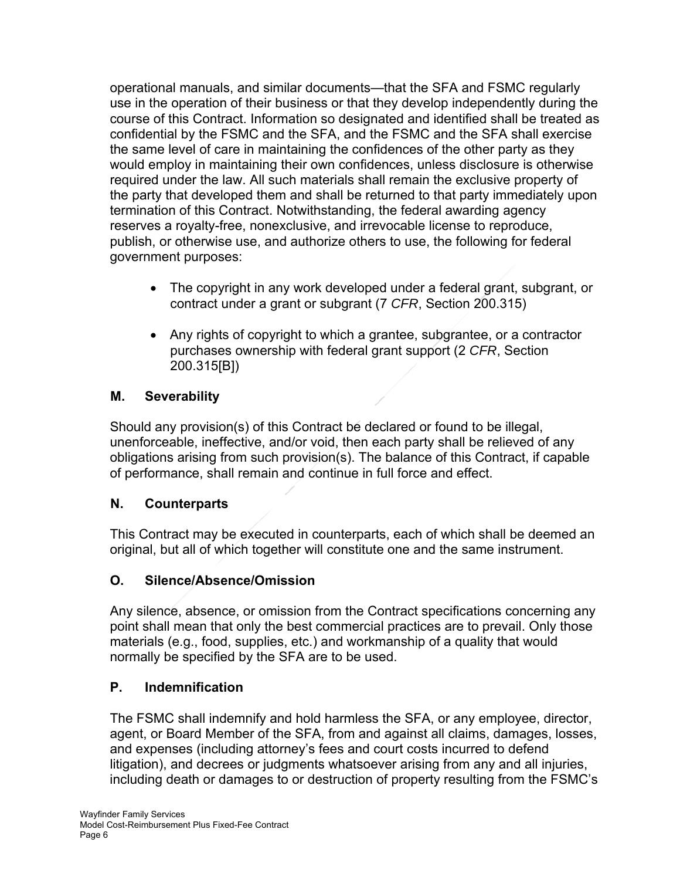operational manuals, and similar documents—that the SFA and FSMC regularly use in the operation of their business or that they develop independently during the course of this Contract. Information so designated and identified shall be treated as confidential by the FSMC and the SFA, and the FSMC and the SFA shall exercise the same level of care in maintaining the confidences of the other party as they would employ in maintaining their own confidences, unless disclosure is otherwise required under the law. All such materials shall remain the exclusive property of the party that developed them and shall be returned to that party immediately upon termination of this Contract. Notwithstanding, the federal awarding agency reserves a royalty-free, nonexclusive, and irrevocable license to reproduce, publish, or otherwise use, and authorize others to use, the following for federal government purposes:

- The copyright in any work developed under a federal grant, subgrant, or contract under a grant or subgrant (7 *CFR*, Section 200.315)
- Any rights of copyright to which a grantee, subgrantee, or a contractor purchases ownership with federal grant support (2 *CFR*, Section 200.315[B])

# **M. Severability**

Should any provision(s) of this Contract be declared or found to be illegal, unenforceable, ineffective, and/or void, then each party shall be relieved of any obligations arising from such provision(s). The balance of this Contract, if capable of performance, shall remain and continue in full force and effect.

# **N. Counterparts**

This Contract may be executed in counterparts, each of which shall be deemed an original, but all of which together will constitute one and the same instrument.

# **O. Silence/Absence/Omission**

Any silence, absence, or omission from the Contract specifications concerning any point shall mean that only the best commercial practices are to prevail. Only those materials (e.g., food, supplies, etc.) and workmanship of a quality that would normally be specified by the SFA are to be used.

# **P. Indemnification**

The FSMC shall indemnify and hold harmless the SFA, or any employee, director, agent, or Board Member of the SFA, from and against all claims, damages, losses, and expenses (including attorney's fees and court costs incurred to defend litigation), and decrees or judgments whatsoever arising from any and all injuries, including death or damages to or destruction of property resulting from the FSMC's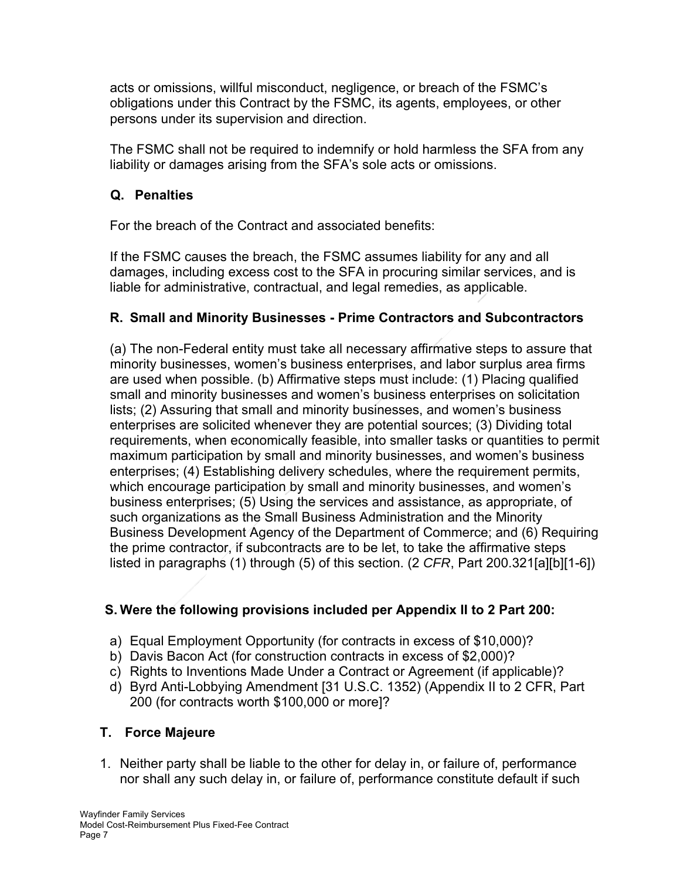acts or omissions, willful misconduct, negligence, or breach of the FSMC's obligations under this Contract by the FSMC, its agents, employees, or other persons under its supervision and direction.

The FSMC shall not be required to indemnify or hold harmless the SFA from any liability or damages arising from the SFA's sole acts or omissions.

# **Q. Penalties**

For the breach of the Contract and associated benefits:

If the FSMC causes the breach, the FSMC assumes liability for any and all damages, including excess cost to the SFA in procuring similar services, and is liable for administrative, contractual, and legal remedies, as applicable.

# **R. Small and Minority Businesses - Prime Contractors and Subcontractors**

(a) The non-Federal entity must take all necessary affirmative steps to assure that minority businesses, women's business enterprises, and labor surplus area firms are used when possible. (b) Affirmative steps must include: (1) Placing qualified small and minority businesses and women's business enterprises on solicitation lists; (2) Assuring that small and minority businesses, and women's business enterprises are solicited whenever they are potential sources; (3) Dividing total requirements, when economically feasible, into smaller tasks or quantities to permit maximum participation by small and minority businesses, and women's business enterprises; (4) Establishing delivery schedules, where the requirement permits, which encourage participation by small and minority businesses, and women's business enterprises; (5) Using the services and assistance, as appropriate, of such organizations as the Small Business Administration and the Minority Business Development Agency of the Department of Commerce; and (6) Requiring the prime contractor, if subcontracts are to be let, to take the affirmative steps listed in paragraphs (1) through (5) of this section. (2 *CFR*, Part 200.321[a][b][1-6])

# **S. Were the following provisions included per Appendix II to 2 Part 200:**

- a) Equal Employment Opportunity (for contracts in excess of \$10,000)?
- b) Davis Bacon Act (for construction contracts in excess of \$2,000)?
- c) Rights to Inventions Made Under a Contract or Agreement (if applicable)?
- d) Byrd Anti-Lobbying Amendment [31 U.S.C. 1352) (Appendix II to 2 CFR, Part 200 (for contracts worth \$100,000 or more]?

# **T. Force Majeure**

1. Neither party shall be liable to the other for delay in, or failure of, performance nor shall any such delay in, or failure of, performance constitute default if such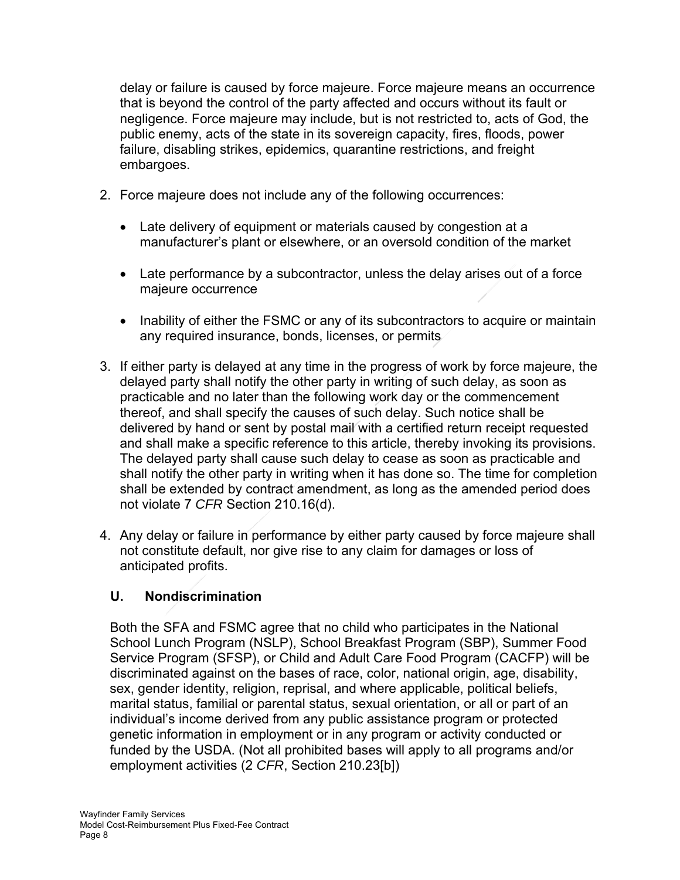delay or failure is caused by force majeure. Force majeure means an occurrence that is beyond the control of the party affected and occurs without its fault or negligence. Force majeure may include, but is not restricted to, acts of God, the public enemy, acts of the state in its sovereign capacity, fires, floods, power failure, disabling strikes, epidemics, quarantine restrictions, and freight embargoes.

- 2. Force majeure does not include any of the following occurrences:
	- Late delivery of equipment or materials caused by congestion at a manufacturer's plant or elsewhere, or an oversold condition of the market
	- Late performance by a subcontractor, unless the delay arises out of a force majeure occurrence
	- Inability of either the FSMC or any of its subcontractors to acquire or maintain any required insurance, bonds, licenses, or permits
- 3. If either party is delayed at any time in the progress of work by force majeure, the delayed party shall notify the other party in writing of such delay, as soon as practicable and no later than the following work day or the commencement thereof, and shall specify the causes of such delay. Such notice shall be delivered by hand or sent by postal mail with a certified return receipt requested and shall make a specific reference to this article, thereby invoking its provisions. The delayed party shall cause such delay to cease as soon as practicable and shall notify the other party in writing when it has done so. The time for completion shall be extended by contract amendment, as long as the amended period does not violate 7 *CFR* Section 210.16(d).
- 4. Any delay or failure in performance by either party caused by force majeure shall not constitute default, nor give rise to any claim for damages or loss of anticipated profits.

# **U. Nondiscrimination**

Both the SFA and FSMC agree that no child who participates in the National School Lunch Program (NSLP), School Breakfast Program (SBP), Summer Food Service Program (SFSP), or Child and Adult Care Food Program (CACFP) will be discriminated against on the bases of race, color, national origin, age, disability, sex, gender identity, religion, reprisal, and where applicable, political beliefs, marital status, familial or parental status, sexual orientation, or all or part of an individual's income derived from any public assistance program or protected genetic information in employment or in any program or activity conducted or funded by the USDA. (Not all prohibited bases will apply to all programs and/or employment activities (2 *CFR*, Section 210.23[b])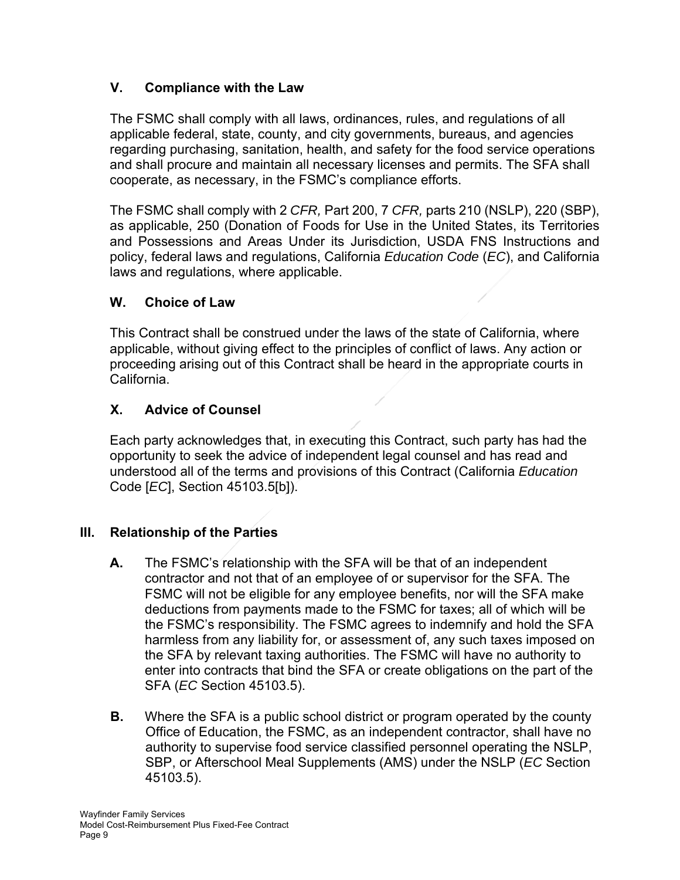# **V. Compliance with the Law**

The FSMC shall comply with all laws, ordinances, rules, and regulations of all applicable federal, state, county, and city governments, bureaus, and agencies regarding purchasing, sanitation, health, and safety for the food service operations and shall procure and maintain all necessary licenses and permits. The SFA shall cooperate, as necessary, in the FSMC's compliance efforts.

The FSMC shall comply with 2 *CFR,* Part 200, 7 *CFR,* parts 210 (NSLP), 220 (SBP), as applicable, 250 (Donation of Foods for Use in the United States, its Territories and Possessions and Areas Under its Jurisdiction, USDA FNS Instructions and policy, federal laws and regulations, California *Education Code* (*EC*), and California laws and regulations, where applicable.

# **W. Choice of Law**

This Contract shall be construed under the laws of the state of California, where applicable, without giving effect to the principles of conflict of laws. Any action or proceeding arising out of this Contract shall be heard in the appropriate courts in California.

# **X. Advice of Counsel**

Each party acknowledges that, in executing this Contract, such party has had the opportunity to seek the advice of independent legal counsel and has read and understood all of the terms and provisions of this Contract (California *Education*  Code [*EC*], Section 45103.5[b]).

# **III. Relationship of the Parties**

- **A.** The FSMC's relationship with the SFA will be that of an independent contractor and not that of an employee of or supervisor for the SFA. The FSMC will not be eligible for any employee benefits, nor will the SFA make deductions from payments made to the FSMC for taxes; all of which will be the FSMC's responsibility. The FSMC agrees to indemnify and hold the SFA harmless from any liability for, or assessment of, any such taxes imposed on the SFA by relevant taxing authorities. The FSMC will have no authority to enter into contracts that bind the SFA or create obligations on the part of the SFA (*EC* Section 45103.5).
- **B.** Where the SFA is a public school district or program operated by the county Office of Education, the FSMC, as an independent contractor, shall have no authority to supervise food service classified personnel operating the NSLP, SBP, or Afterschool Meal Supplements (AMS) under the NSLP (*EC* Section 45103.5).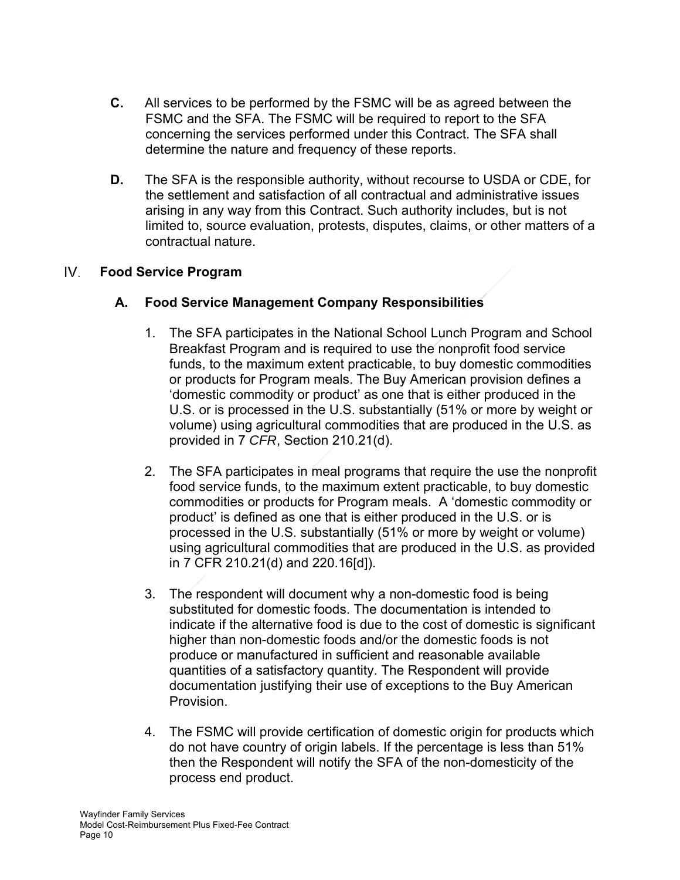- **C.** All services to be performed by the FSMC will be as agreed between the FSMC and the SFA. The FSMC will be required to report to the SFA concerning the services performed under this Contract. The SFA shall determine the nature and frequency of these reports.
- **D.** The SFA is the responsible authority, without recourse to USDA or CDE, for the settlement and satisfaction of all contractual and administrative issues arising in any way from this Contract. Such authority includes, but is not limited to, source evaluation, protests, disputes, claims, or other matters of a contractual nature.

#### IV. **Food Service Program**

# **A. Food Service Management Company Responsibilities**

- 1. The SFA participates in the National School Lunch Program and School Breakfast Program and is required to use the nonprofit food service funds, to the maximum extent practicable, to buy domestic commodities or products for Program meals. The Buy American provision defines a 'domestic commodity or product' as one that is either produced in the U.S. or is processed in the U.S. substantially (51% or more by weight or volume) using agricultural commodities that are produced in the U.S. as provided in 7 *CFR*, Section 210.21(d).
- 2. The SFA participates in meal programs that require the use the nonprofit food service funds, to the maximum extent practicable, to buy domestic commodities or products for Program meals. A 'domestic commodity or product' is defined as one that is either produced in the U.S. or is processed in the U.S. substantially (51% or more by weight or volume) using agricultural commodities that are produced in the U.S. as provided in 7 CFR 210.21(d) and 220.16[d]).
- 3. The respondent will document why a non-domestic food is being substituted for domestic foods. The documentation is intended to indicate if the alternative food is due to the cost of domestic is significant higher than non-domestic foods and/or the domestic foods is not produce or manufactured in sufficient and reasonable available quantities of a satisfactory quantity. The Respondent will provide documentation justifying their use of exceptions to the Buy American Provision.
- 4. The FSMC will provide certification of domestic origin for products which do not have country of origin labels. If the percentage is less than 51% then the Respondent will notify the SFA of the non-domesticity of the process end product.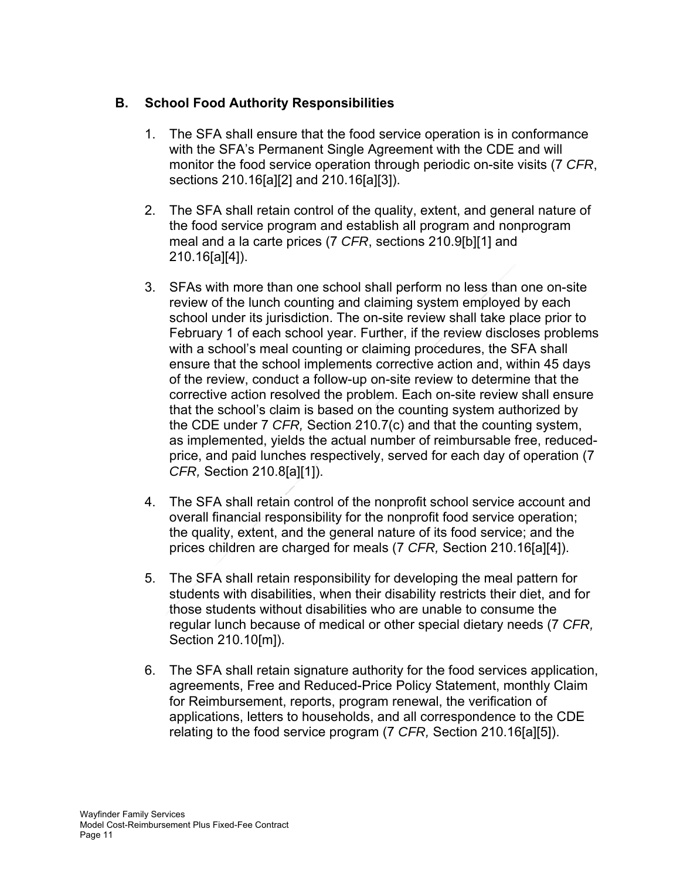# **B. School Food Authority Responsibilities**

- 1. The SFA shall ensure that the food service operation is in conformance with the SFA's Permanent Single Agreement with the CDE and will monitor the food service operation through periodic on-site visits (7 *CFR*, sections 210.16[a][2] and 210.16[a][3]).
- 2. The SFA shall retain control of the quality, extent, and general nature of the food service program and establish all program and nonprogram meal and a la carte prices (7 *CFR*, sections 210.9[b][1] and 210.16[a][4]).
- 3. SFAs with more than one school shall perform no less than one on-site review of the lunch counting and claiming system employed by each school under its jurisdiction. The on-site review shall take place prior to February 1 of each school year. Further, if the review discloses problems with a school's meal counting or claiming procedures, the SFA shall ensure that the school implements corrective action and, within 45 days of the review, conduct a follow-up on-site review to determine that the corrective action resolved the problem. Each on-site review shall ensure that the school's claim is based on the counting system authorized by the CDE under 7 *CFR,* Section 210.7(c) and that the counting system, as implemented, yields the actual number of reimbursable free, reducedprice, and paid lunches respectively, served for each day of operation (7 *CFR,* Section 210.8[a][1]).
- 4. The SFA shall retain control of the nonprofit school service account and overall financial responsibility for the nonprofit food service operation; the quality, extent, and the general nature of its food service; and the prices children are charged for meals (7 *CFR,* Section 210.16[a][4]).
- 5. The SFA shall retain responsibility for developing the meal pattern for students with disabilities, when their disability restricts their diet, and for those students without disabilities who are unable to consume the regular lunch because of medical or other special dietary needs (7 *CFR,* Section 210.10[m]).
- 6. The SFA shall retain signature authority for the food services application, agreements, Free and Reduced-Price Policy Statement, monthly Claim for Reimbursement, reports, program renewal, the verification of applications, letters to households, and all correspondence to the CDE relating to the food service program (7 *CFR,* Section 210.16[a][5]).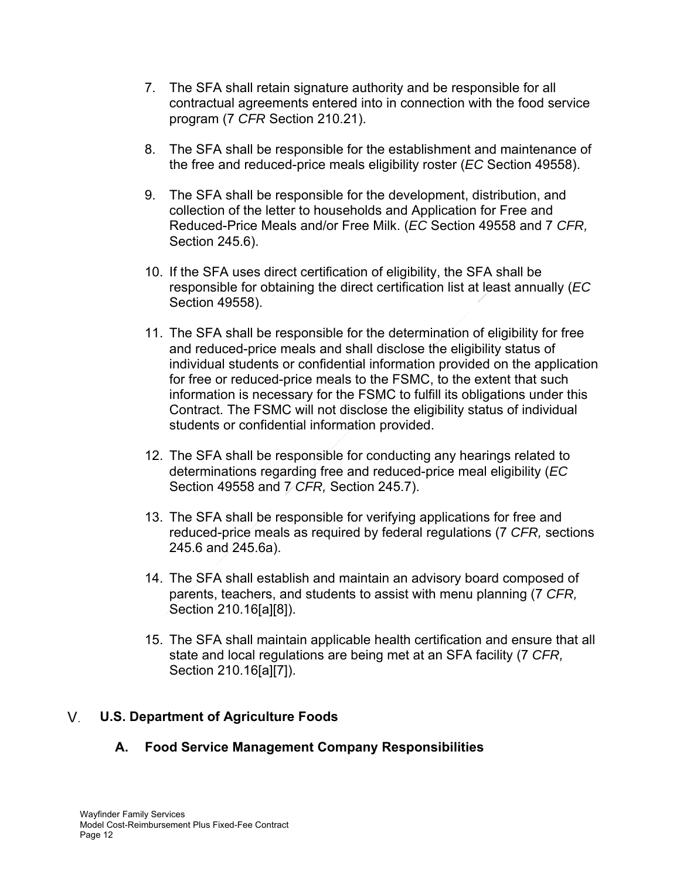- 7. The SFA shall retain signature authority and be responsible for all contractual agreements entered into in connection with the food service program (7 *CFR* Section 210.21).
- 8. The SFA shall be responsible for the establishment and maintenance of the free and reduced-price meals eligibility roster (*EC* Section 49558).
- 9. The SFA shall be responsible for the development, distribution, and collection of the letter to households and Application for Free and Reduced-Price Meals and/or Free Milk. (*EC* Section 49558 and 7 *CFR,* Section 245.6).
- 10. If the SFA uses direct certification of eligibility, the SFA shall be responsible for obtaining the direct certification list at least annually (*EC* Section 49558).
- 11. The SFA shall be responsible for the determination of eligibility for free and reduced-price meals and shall disclose the eligibility status of individual students or confidential information provided on the application for free or reduced-price meals to the FSMC, to the extent that such information is necessary for the FSMC to fulfill its obligations under this Contract. The FSMC will not disclose the eligibility status of individual students or confidential information provided.
- 12. The SFA shall be responsible for conducting any hearings related to determinations regarding free and reduced-price meal eligibility (*EC* Section 49558 and 7 *CFR,* Section 245.7).
- 13. The SFA shall be responsible for verifying applications for free and reduced-price meals as required by federal regulations (7 *CFR,* sections 245.6 and 245.6a).
- 14. The SFA shall establish and maintain an advisory board composed of parents, teachers, and students to assist with menu planning (7 *CFR,* Section 210.16[a][8]).
- 15. The SFA shall maintain applicable health certification and ensure that all state and local regulations are being met at an SFA facility (7 *CFR,* Section 210.16[a][7]).

#### V. **U.S. Department of Agriculture Foods**

# **A. Food Service Management Company Responsibilities**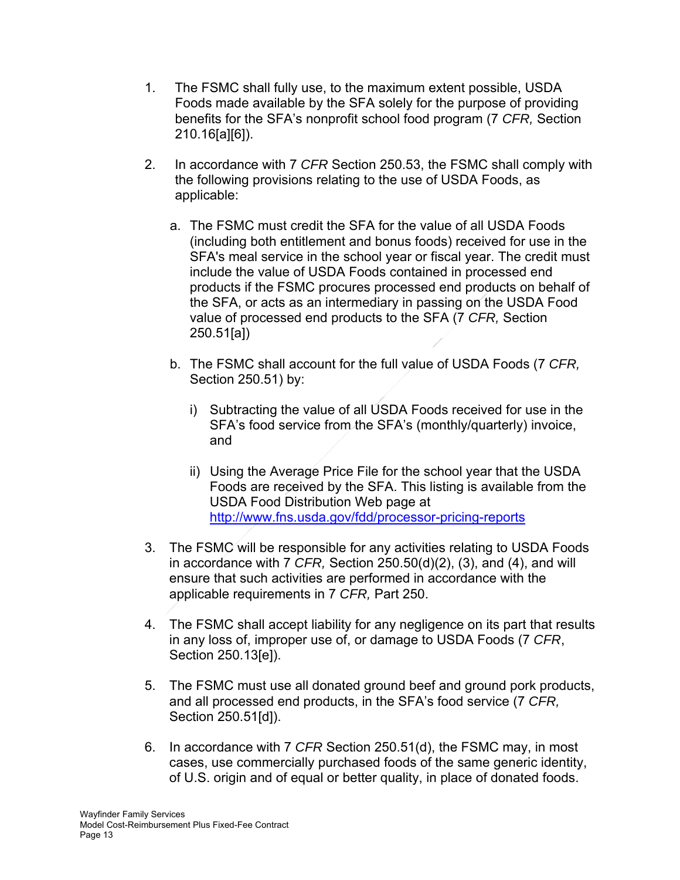- 1. The FSMC shall fully use, to the maximum extent possible, USDA Foods made available by the SFA solely for the purpose of providing benefits for the SFA's nonprofit school food program (7 *CFR,* Section 210.16[a][6]).
- 2. In accordance with 7 *CFR* Section 250.53, the FSMC shall comply with the following provisions relating to the use of USDA Foods, as applicable:
	- a. The FSMC must credit the SFA for the value of all USDA Foods (including both entitlement and bonus foods) received for use in the SFA's meal service in the school year or fiscal year. The credit must include the value of USDA Foods contained in processed end products if the FSMC procures processed end products on behalf of the SFA, or acts as an intermediary in passing on the USDA Food value of processed end products to the SFA (7 *CFR,* Section 250.51[a])
	- b. The FSMC shall account for the full value of USDA Foods (7 *CFR,* Section 250.51) by:
		- i) Subtracting the value of all USDA Foods received for use in the SFA's food service from the SFA's (monthly/quarterly) invoice, and
		- ii) Using the Average Price File for the school year that the USDA Foods are received by the SFA. This listing is available from the USDA Food Distribution Web page at http://www.fns.usda.gov/fdd/processor-pricing-reports
- 3. The FSMC will be responsible for any activities relating to USDA Foods in accordance with 7 *CFR,* Section 250.50(d)(2), (3), and (4), and will ensure that such activities are performed in accordance with the applicable requirements in 7 *CFR,* Part 250.
- 4. The FSMC shall accept liability for any negligence on its part that results in any loss of, improper use of, or damage to USDA Foods (7 *CFR*, Section 250.13[e]).
- 5. The FSMC must use all donated ground beef and ground pork products, and all processed end products, in the SFA's food service (7 *CFR,* Section 250.51[d]).
- 6. In accordance with 7 *CFR* Section 250.51(d), the FSMC may, in most cases, use commercially purchased foods of the same generic identity, of U.S. origin and of equal or better quality, in place of donated foods.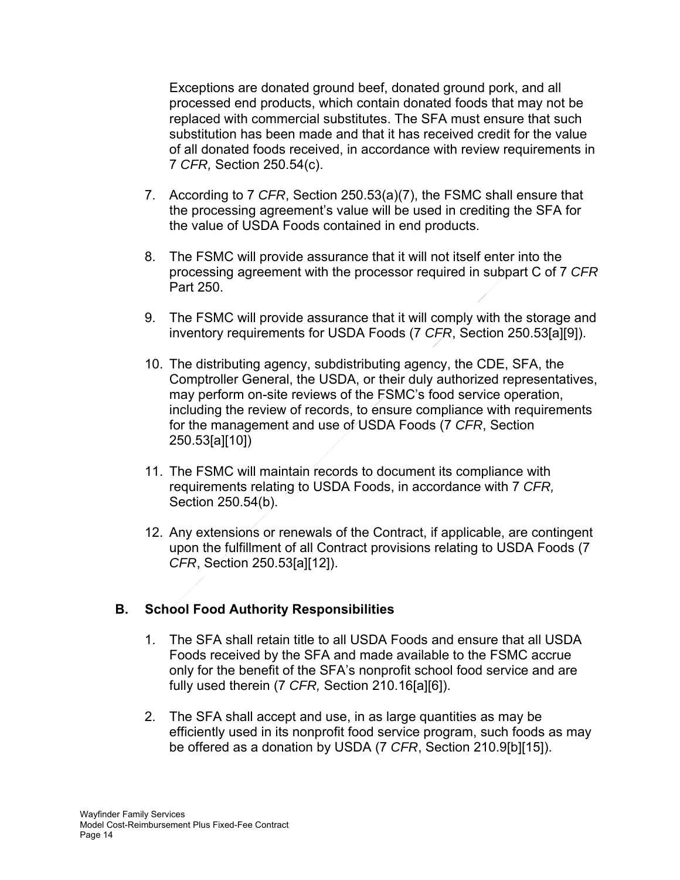Exceptions are donated ground beef, donated ground pork, and all processed end products, which contain donated foods that may not be replaced with commercial substitutes. The SFA must ensure that such substitution has been made and that it has received credit for the value of all donated foods received, in accordance with review requirements in 7 *CFR,* Section 250.54(c).

- 7. According to 7 *CFR*, Section 250.53(a)(7), the FSMC shall ensure that the processing agreement's value will be used in crediting the SFA for the value of USDA Foods contained in end products.
- 8. The FSMC will provide assurance that it will not itself enter into the processing agreement with the processor required in subpart C of 7 *CFR* Part 250.
- 9. The FSMC will provide assurance that it will comply with the storage and inventory requirements for USDA Foods (7 *CFR*, Section 250.53[a][9]).
- 10. The distributing agency, subdistributing agency, the CDE, SFA, the Comptroller General, the USDA, or their duly authorized representatives, may perform on-site reviews of the FSMC's food service operation, including the review of records, to ensure compliance with requirements for the management and use of USDA Foods (7 *CFR*, Section 250.53[a][10])
- 11. The FSMC will maintain records to document its compliance with requirements relating to USDA Foods, in accordance with 7 *CFR,* Section 250.54(b).
- 12. Any extensions or renewals of the Contract, if applicable, are contingent upon the fulfillment of all Contract provisions relating to USDA Foods (7 *CFR*, Section 250.53[a][12]).

# **B. School Food Authority Responsibilities**

- 1. The SFA shall retain title to all USDA Foods and ensure that all USDA Foods received by the SFA and made available to the FSMC accrue only for the benefit of the SFA's nonprofit school food service and are fully used therein (7 *CFR,* Section 210.16[a][6]).
- 2. The SFA shall accept and use, in as large quantities as may be efficiently used in its nonprofit food service program, such foods as may be offered as a donation by USDA (7 *CFR*, Section 210.9[b][15]).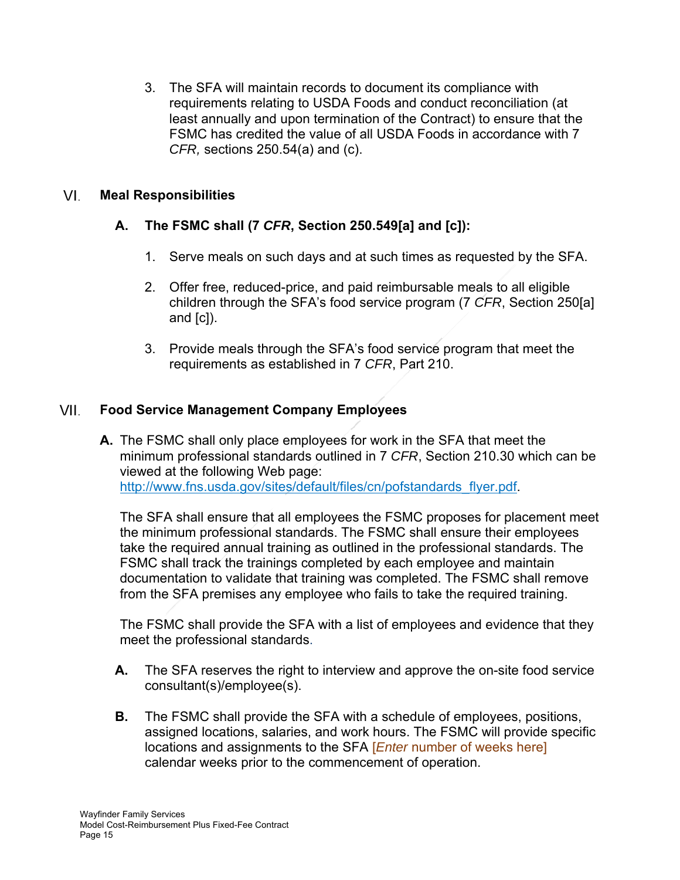3. The SFA will maintain records to document its compliance with requirements relating to USDA Foods and conduct reconciliation (at least annually and upon termination of the Contract) to ensure that the FSMC has credited the value of all USDA Foods in accordance with 7 *CFR,* sections 250.54(a) and (c).

#### VI. **Meal Responsibilities**

# **A. The FSMC shall (7** *CFR***, Section 250.549[a] and [c]):**

- 1. Serve meals on such days and at such times as requested by the SFA.
- 2. Offer free, reduced-price, and paid reimbursable meals to all eligible children through the SFA's food service program (7 *CFR*, Section 250[a] and  $[c]$ ).
- 3. Provide meals through the SFA's food service program that meet the requirements as established in 7 *CFR*, Part 210.

#### VII. **Food Service Management Company Employees**

**A.** The FSMC shall only place employees for work in the SFA that meet the minimum professional standards outlined in 7 *CFR*, Section 210.30 which can be viewed at the following Web page: http://www.fns.usda.gov/sites/default/files/cn/pofstandards\_flyer.pdf.

The SFA shall ensure that all employees the FSMC proposes for placement meet the minimum professional standards. The FSMC shall ensure their employees take the required annual training as outlined in the professional standards. The FSMC shall track the trainings completed by each employee and maintain documentation to validate that training was completed. The FSMC shall remove from the SFA premises any employee who fails to take the required training.

The FSMC shall provide the SFA with a list of employees and evidence that they meet the professional standards.

- **A.** The SFA reserves the right to interview and approve the on-site food service consultant(s)/employee(s).
- **B.** The FSMC shall provide the SFA with a schedule of employees, positions, assigned locations, salaries, and work hours. The FSMC will provide specific locations and assignments to the SFA [*Enter* number of weeks here] calendar weeks prior to the commencement of operation.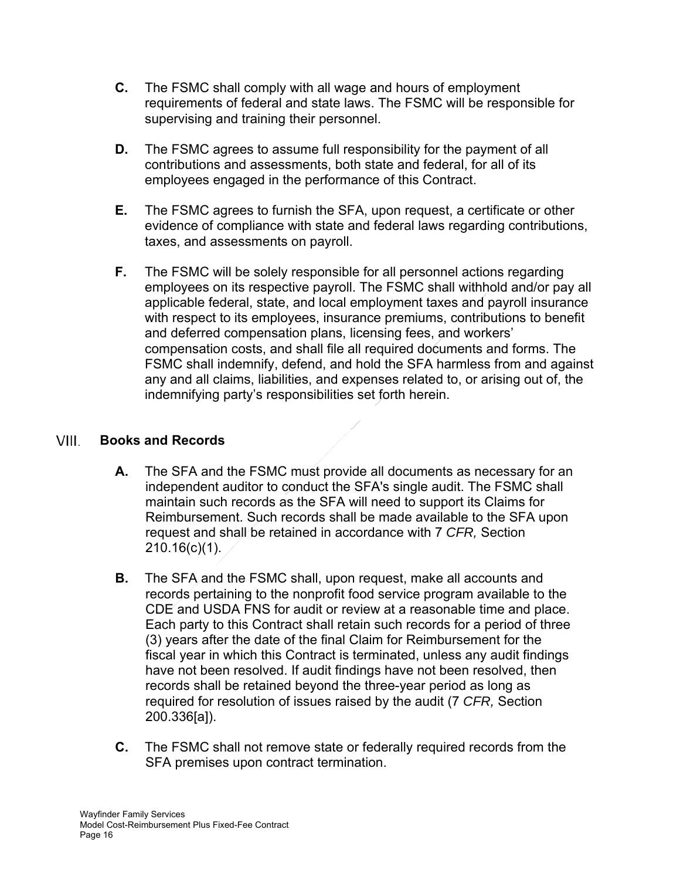- **C.** The FSMC shall comply with all wage and hours of employment requirements of federal and state laws. The FSMC will be responsible for supervising and training their personnel.
- **D.** The FSMC agrees to assume full responsibility for the payment of all contributions and assessments, both state and federal, for all of its employees engaged in the performance of this Contract.
- **E.** The FSMC agrees to furnish the SFA, upon request, a certificate or other evidence of compliance with state and federal laws regarding contributions, taxes, and assessments on payroll.
- **F.** The FSMC will be solely responsible for all personnel actions regarding employees on its respective payroll. The FSMC shall withhold and/or pay all applicable federal, state, and local employment taxes and payroll insurance with respect to its employees, insurance premiums, contributions to benefit and deferred compensation plans, licensing fees, and workers' compensation costs, and shall file all required documents and forms. The FSMC shall indemnify, defend, and hold the SFA harmless from and against any and all claims, liabilities, and expenses related to, or arising out of, the indemnifying party's responsibilities set forth herein.

#### **Books and Records**  VIII.

- **A.** The SFA and the FSMC must provide all documents as necessary for an independent auditor to conduct the SFA's single audit. The FSMC shall maintain such records as the SFA will need to support its Claims for Reimbursement. Such records shall be made available to the SFA upon request and shall be retained in accordance with 7 *CFR,* Section  $210.16(c)(1)$ .
- **B.** The SFA and the FSMC shall, upon request, make all accounts and records pertaining to the nonprofit food service program available to the CDE and USDA FNS for audit or review at a reasonable time and place. Each party to this Contract shall retain such records for a period of three (3) years after the date of the final Claim for Reimbursement for the fiscal year in which this Contract is terminated, unless any audit findings have not been resolved. If audit findings have not been resolved, then records shall be retained beyond the three-year period as long as required for resolution of issues raised by the audit (7 *CFR,* Section 200.336[a]).
- **C.** The FSMC shall not remove state or federally required records from the SFA premises upon contract termination.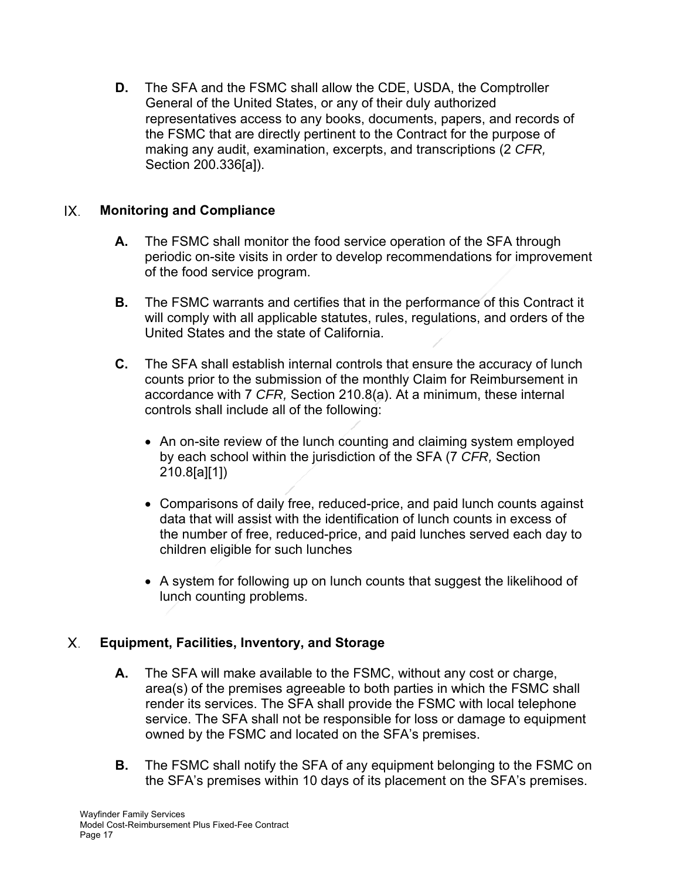**D.** The SFA and the FSMC shall allow the CDE, USDA, the Comptroller General of the United States, or any of their duly authorized representatives access to any books, documents, papers, and records of the FSMC that are directly pertinent to the Contract for the purpose of making any audit, examination, excerpts, and transcriptions (2 *CFR,* Section 200.336[a]).

#### $IX$ **Monitoring and Compliance**

- **A.** The FSMC shall monitor the food service operation of the SFA through periodic on-site visits in order to develop recommendations for improvement of the food service program.
- **B.** The FSMC warrants and certifies that in the performance of this Contract it will comply with all applicable statutes, rules, regulations, and orders of the United States and the state of California.
- **C.** The SFA shall establish internal controls that ensure the accuracy of lunch counts prior to the submission of the monthly Claim for Reimbursement in accordance with 7 *CFR,* Section 210.8(a). At a minimum, these internal controls shall include all of the following:
	- An on-site review of the lunch counting and claiming system employed by each school within the jurisdiction of the SFA (7 *CFR,* Section 210.8[a][1])
	- Comparisons of daily free, reduced-price, and paid lunch counts against data that will assist with the identification of lunch counts in excess of the number of free, reduced-price, and paid lunches served each day to children eligible for such lunches
	- A system for following up on lunch counts that suggest the likelihood of lunch counting problems.

#### X. **Equipment, Facilities, Inventory, and Storage**

- **A.** The SFA will make available to the FSMC, without any cost or charge, area(s) of the premises agreeable to both parties in which the FSMC shall render its services. The SFA shall provide the FSMC with local telephone service. The SFA shall not be responsible for loss or damage to equipment owned by the FSMC and located on the SFA's premises.
- **B.** The FSMC shall notify the SFA of any equipment belonging to the FSMC on the SFA's premises within 10 days of its placement on the SFA's premises.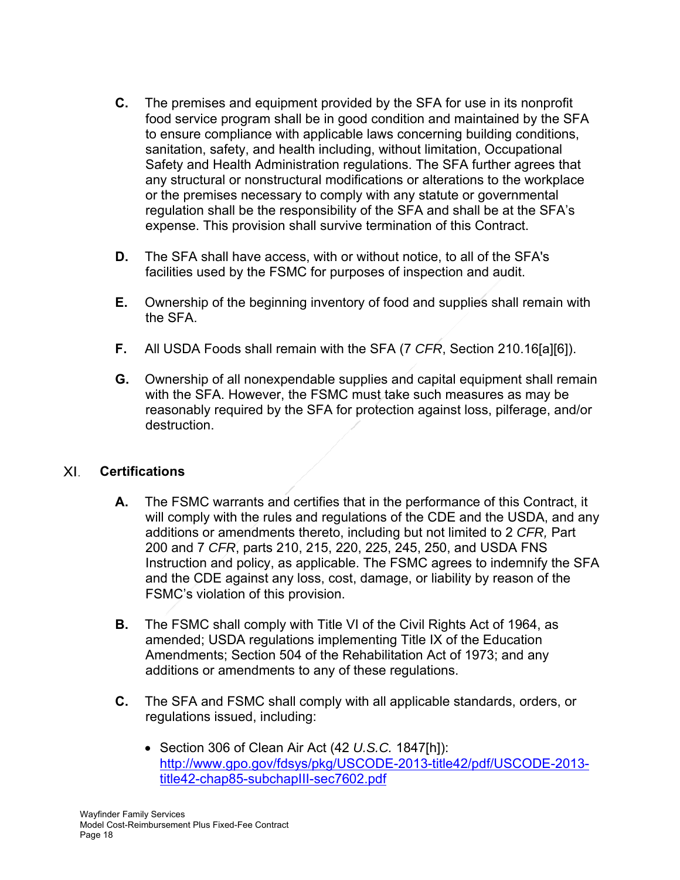- **C.** The premises and equipment provided by the SFA for use in its nonprofit food service program shall be in good condition and maintained by the SFA to ensure compliance with applicable laws concerning building conditions, sanitation, safety, and health including, without limitation, Occupational Safety and Health Administration regulations. The SFA further agrees that any structural or nonstructural modifications or alterations to the workplace or the premises necessary to comply with any statute or governmental regulation shall be the responsibility of the SFA and shall be at the SFA's expense. This provision shall survive termination of this Contract.
- **D.** The SFA shall have access, with or without notice, to all of the SFA's facilities used by the FSMC for purposes of inspection and audit.
- **E.** Ownership of the beginning inventory of food and supplies shall remain with the SFA.
- **F.** All USDA Foods shall remain with the SFA (7 *CFR*, Section 210.16[a][6]).
- **G.** Ownership of all nonexpendable supplies and capital equipment shall remain with the SFA. However, the FSMC must take such measures as may be reasonably required by the SFA for protection against loss, pilferage, and/or destruction.

#### XI. **Certifications**

- **A.** The FSMC warrants and certifies that in the performance of this Contract, it will comply with the rules and regulations of the CDE and the USDA, and any additions or amendments thereto, including but not limited to 2 *CFR,* Part 200 and 7 *CFR*, parts 210, 215, 220, 225, 245, 250, and USDA FNS Instruction and policy, as applicable. The FSMC agrees to indemnify the SFA and the CDE against any loss, cost, damage, or liability by reason of the FSMC's violation of this provision.
- **B.** The FSMC shall comply with Title VI of the Civil Rights Act of 1964, as amended; USDA regulations implementing Title IX of the Education Amendments; Section 504 of the Rehabilitation Act of 1973; and any additions or amendments to any of these regulations.
- **C.** The SFA and FSMC shall comply with all applicable standards, orders, or regulations issued, including:
	- Section 306 of Clean Air Act (42 *U.S.C.* 1847[h]): http://www.gpo.gov/fdsys/pkg/USCODE-2013-title42/pdf/USCODE-2013 title42-chap85-subchapIII-sec7602.pdf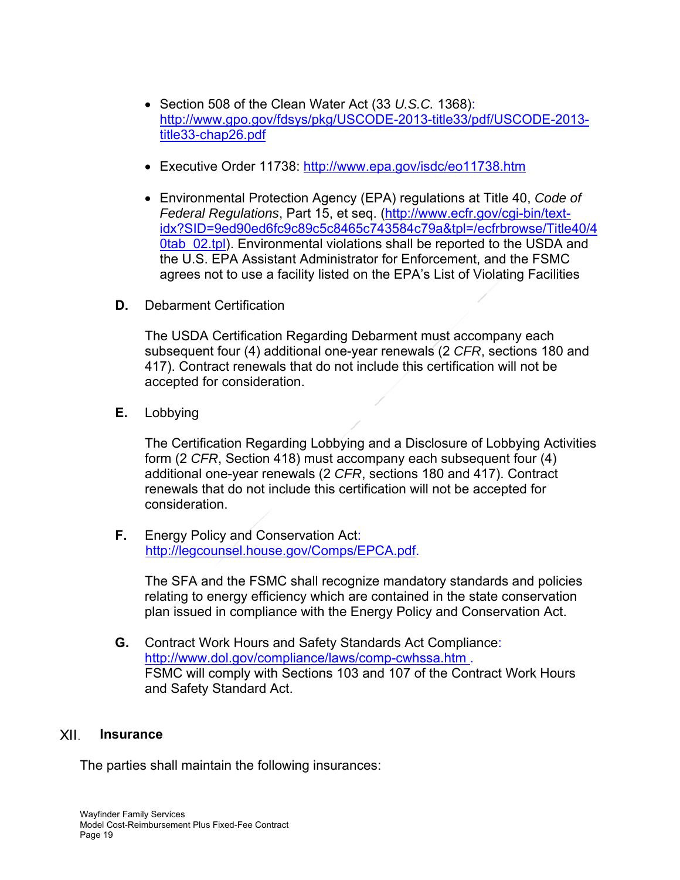- Section 508 of the Clean Water Act (33 *U.S.C.* 1368): http://www.gpo.gov/fdsys/pkg/USCODE-2013-title33/pdf/USCODE-2013 title33-chap26.pdf
- Executive Order 11738: http://www.epa.gov/isdc/eo11738.htm
- Environmental Protection Agency (EPA) regulations at Title 40, *Code of Federal Regulations*, Part 15, et seq. (http://www.ecfr.gov/cgi-bin/textidx?SID=9ed90ed6fc9c89c5c8465c743584c79a&tpl=/ecfrbrowse/Title40/4 0tab 02.tpl). Environmental violations shall be reported to the USDA and the U.S. EPA Assistant Administrator for Enforcement, and the FSMC agrees not to use a facility listed on the EPA's List of Violating Facilities
- **D.** Debarment Certification

The USDA Certification Regarding Debarment must accompany each subsequent four (4) additional one-year renewals (2 *CFR*, sections 180 and 417). Contract renewals that do not include this certification will not be accepted for consideration.

**E.** Lobbying

The Certification Regarding Lobbying and a Disclosure of Lobbying Activities form (2 *CFR*, Section 418) must accompany each subsequent four (4) additional one-year renewals (2 *CFR*, sections 180 and 417). Contract renewals that do not include this certification will not be accepted for consideration.

**F.** Energy Policy and Conservation Act: http://legcounsel.house.gov/Comps/EPCA.pdf.

The SFA and the FSMC shall recognize mandatory standards and policies relating to energy efficiency which are contained in the state conservation plan issued in compliance with the Energy Policy and Conservation Act.

**G.** Contract Work Hours and Safety Standards Act Compliance: http://www.dol.gov/compliance/laws/comp-cwhssa.htm . FSMC will comply with Sections 103 and 107 of the Contract Work Hours and Safety Standard Act.

#### XII. **Insurance**

The parties shall maintain the following insurances: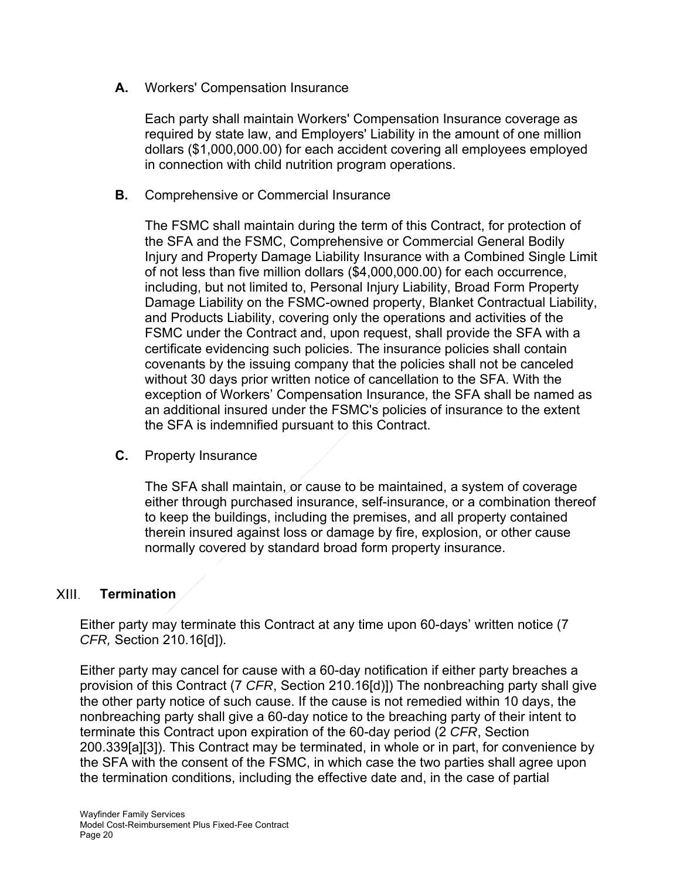**A.** Workers' Compensation Insurance

Each party shall maintain Workers' Compensation Insurance coverage as required by state law, and Employers' Liability in the amount of one million dollars (\$1,000,000.00) for each accident covering all employees employed in connection with child nutrition program operations.

**B.** Comprehensive or Commercial Insurance

The FSMC shall maintain during the term of this Contract, for protection of the SFA and the FSMC, Comprehensive or Commercial General Bodily Injury and Property Damage Liability Insurance with a Combined Single Limit of not less than five million dollars (\$4,000,000.00) for each occurrence, including, but not limited to, Personal Injury Liability, Broad Form Property Damage Liability on the FSMC-owned property, Blanket Contractual Liability, and Products Liability, covering only the operations and activities of the FSMC under the Contract and, upon request, shall provide the SFA with a certificate evidencing such policies. The insurance policies shall contain covenants by the issuing company that the policies shall not be canceled without 30 days prior written notice of cancellation to the SFA. With the exception of Workers' Compensation Insurance, the SFA shall be named as an additional insured under the FSMC's policies of insurance to the extent the SFA is indemnified pursuant to this Contract.

**C.** Property Insurance

The SFA shall maintain, or cause to be maintained, a system of coverage either through purchased insurance, self-insurance, or a combination thereof to keep the buildings, including the premises, and all property contained therein insured against loss or damage by fire, explosion, or other cause normally covered by standard broad form property insurance.

#### $XIII.$ **Termination**

Either party may terminate this Contract at any time upon 60-days' written notice (7 *CFR,* Section 210.16[d]).

Either party may cancel for cause with a 60-day notification if either party breaches a provision of this Contract (7 *CFR*, Section 210.16[d)]) The nonbreaching party shall give the other party notice of such cause. If the cause is not remedied within 10 days, the nonbreaching party shall give a 60-day notice to the breaching party of their intent to terminate this Contract upon expiration of the 60-day period (2 *CFR*, Section 200.339[a][3]). This Contract may be terminated, in whole or in part, for convenience by the SFA with the consent of the FSMC, in which case the two parties shall agree upon the termination conditions, including the effective date and, in the case of partial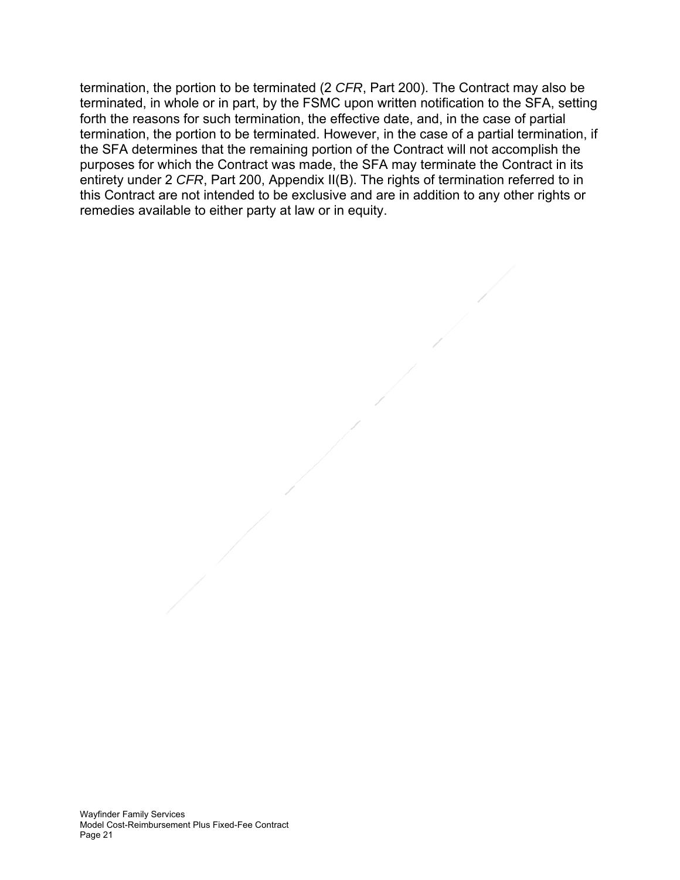termination, the portion to be terminated (2 *CFR*, Part 200). The Contract may also be terminated, in whole or in part, by the FSMC upon written notification to the SFA, setting forth the reasons for such termination, the effective date, and, in the case of partial termination, the portion to be terminated. However, in the case of a partial termination, if the SFA determines that the remaining portion of the Contract will not accomplish the purposes for which the Contract was made, the SFA may terminate the Contract in its entirety under 2 *CFR*, Part 200, Appendix II(B). The rights of termination referred to in this Contract are not intended to be exclusive and are in addition to any other rights or remedies available to either party at law or in equity.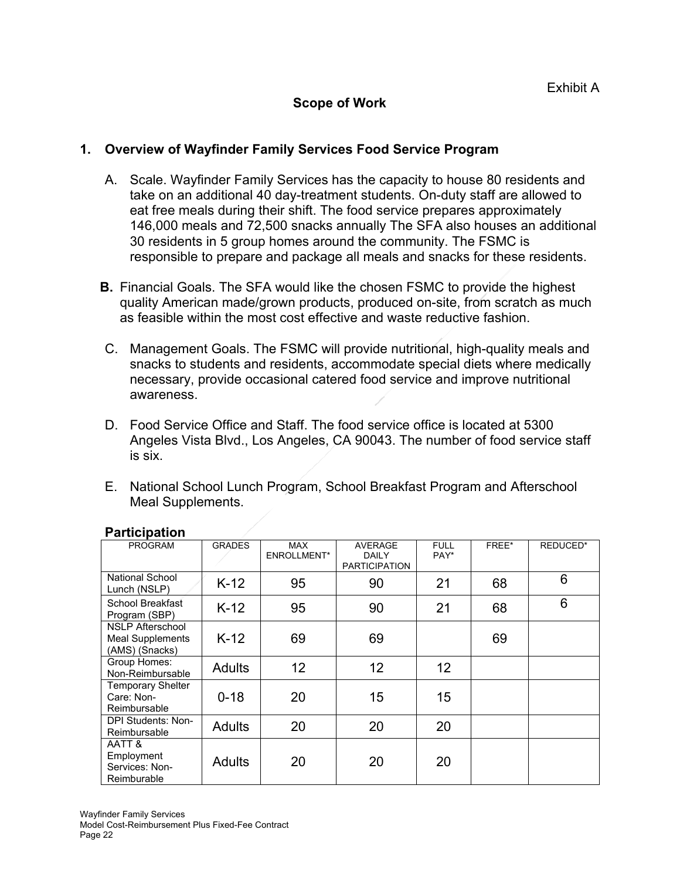# **Scope of Work**

# **1. Overview of Wayfinder Family Services Food Service Program**

- A. Scale. Wayfinder Family Services has the capacity to house 80 residents and take on an additional 40 day-treatment students. On-duty staff are allowed to eat free meals during their shift. The food service prepares approximately 146,000 meals and 72,500 snacks annually The SFA also houses an additional 30 residents in 5 group homes around the community. The FSMC is responsible to prepare and package all meals and snacks for these residents.
- **B.** Financial Goals. The SFA would like the chosen FSMC to provide the highest quality American made/grown products, produced on-site, from scratch as much as feasible within the most cost effective and waste reductive fashion.
- C. Management Goals. The FSMC will provide nutritional, high-quality meals and snacks to students and residents, accommodate special diets where medically necessary, provide occasional catered food service and improve nutritional awareness.
- D. Food Service Office and Staff. The food service office is located at 5300 Angeles Vista Blvd., Los Angeles, CA 90043. The number of food service staff is six.
- E. National School Lunch Program, School Breakfast Program and Afterschool Meal Supplements.

| <b>PROGRAM</b>                                                       | <b>GRADES</b> | <b>MAX</b><br>ENROLLMENT* | <b>AVERAGE</b><br><b>DAILY</b><br><b>PARTICIPATION</b> | <b>FULL</b><br>PAY* | FREE* | REDUCED* |
|----------------------------------------------------------------------|---------------|---------------------------|--------------------------------------------------------|---------------------|-------|----------|
| National School<br>Lunch (NSLP)                                      | $K-12$        | 95                        | 90                                                     | 21                  | 68    | 6        |
| School Breakfast<br>Program (SBP)                                    | $K-12$        | 95                        | 90                                                     | 21                  | 68    | 6        |
| <b>NSLP Afterschool</b><br><b>Meal Supplements</b><br>(AMS) (Snacks) | $K-12$        | 69                        | 69                                                     |                     | 69    |          |
| Group Homes:<br>Non-Reimbursable                                     | <b>Adults</b> | 12 <sup>2</sup>           | 12 <sup>2</sup>                                        | 12 <sup>2</sup>     |       |          |
| <b>Temporary Shelter</b><br>Care: Non-<br>Reimbursable               | $0 - 18$      | 20                        | 15                                                     | 15                  |       |          |
| <b>DPI Students: Non-</b><br>Reimbursable                            | <b>Adults</b> | 20                        | 20                                                     | 20                  |       |          |
| AATT &<br>Employment<br>Services: Non-<br>Reimburable                | <b>Adults</b> | 20                        | 20                                                     | 20                  |       |          |

### **Participation**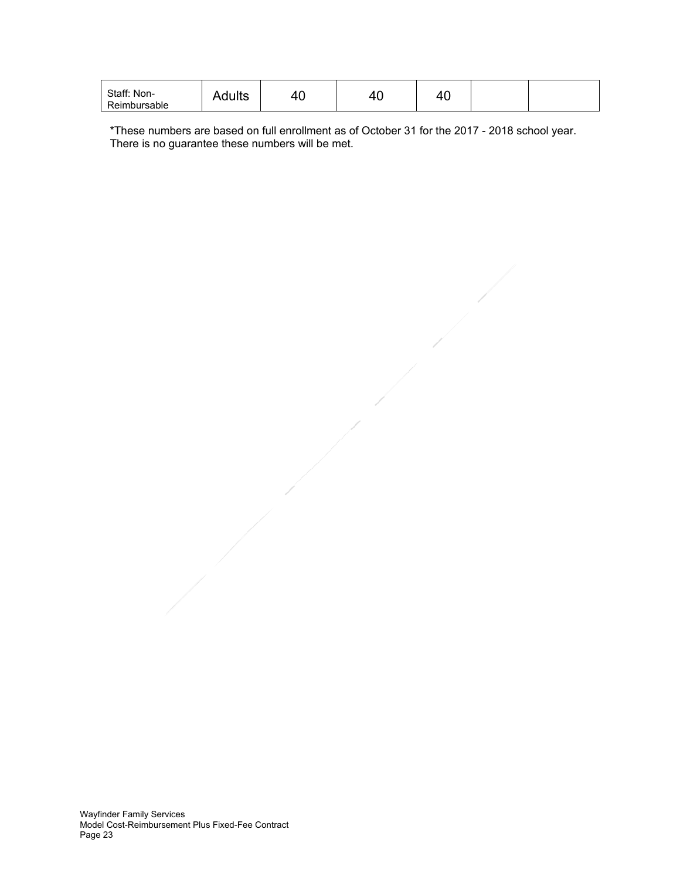| Staff: Non-<br>Reimbursable | Adults | r v | -<br>⊿<br>7 J | л<br>"<br>᠇ᢦ |  |  |
|-----------------------------|--------|-----|---------------|--------------|--|--|
|-----------------------------|--------|-----|---------------|--------------|--|--|

\*These numbers are based on full enrollment as of October 31 for the 2017 - 2018 school year. There is no guarantee these numbers will be met.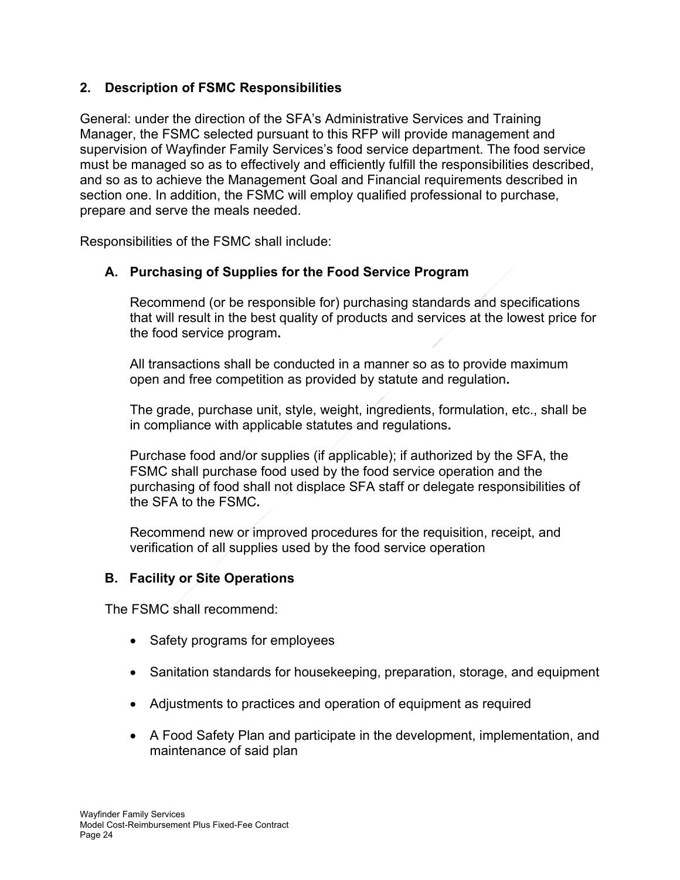# **2. Description of FSMC Responsibilities**

General: under the direction of the SFA's Administrative Services and Training Manager, the FSMC selected pursuant to this RFP will provide management and supervision of Wayfinder Family Services's food service department. The food service must be managed so as to effectively and efficiently fulfill the responsibilities described, and so as to achieve the Management Goal and Financial requirements described in section one. In addition, the FSMC will employ qualified professional to purchase, prepare and serve the meals needed.

Responsibilities of the FSMC shall include:

# **A. Purchasing of Supplies for the Food Service Program**

Recommend (or be responsible for) purchasing standards and specifications that will result in the best quality of products and services at the lowest price for the food service program**.** 

All transactions shall be conducted in a manner so as to provide maximum open and free competition as provided by statute and regulation**.** 

The grade, purchase unit, style, weight, ingredients, formulation, etc., shall be in compliance with applicable statutes and regulations**.** 

Purchase food and/or supplies (if applicable); if authorized by the SFA, the FSMC shall purchase food used by the food service operation and the purchasing of food shall not displace SFA staff or delegate responsibilities of the SFA to the FSMC**.** 

Recommend new or improved procedures for the requisition, receipt, and verification of all supplies used by the food service operation

# **B. Facility or Site Operations**

The FSMC shall recommend:

- Safety programs for employees
- Sanitation standards for housekeeping, preparation, storage, and equipment
- Adjustments to practices and operation of equipment as required
- A Food Safety Plan and participate in the development, implementation, and maintenance of said plan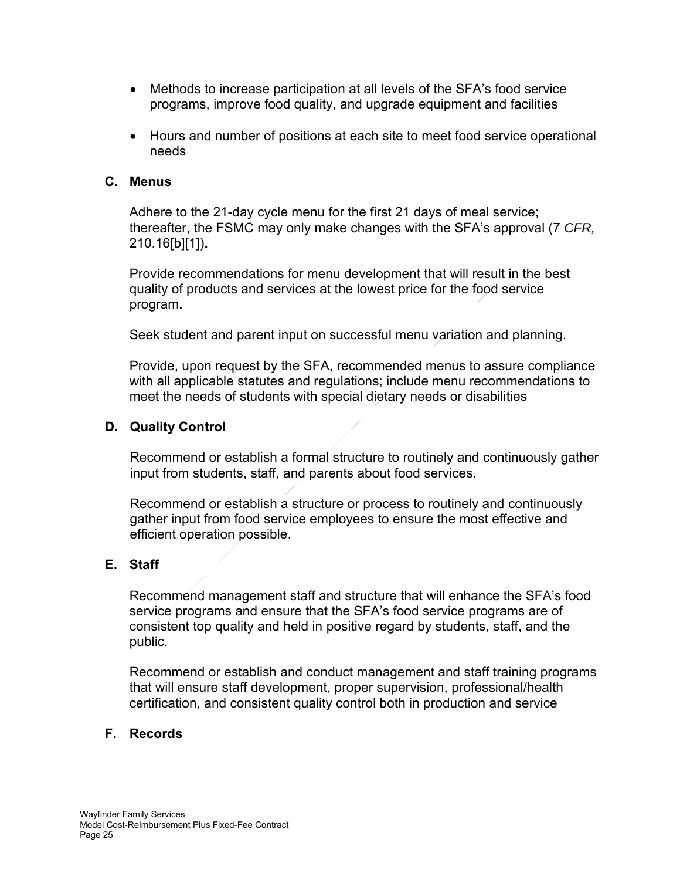- Methods to increase participation at all levels of the SFA's food service programs, improve food quality, and upgrade equipment and facilities
- Hours and number of positions at each site to meet food service operational needs

# **C. Menus**

Adhere to the 21-day cycle menu for the first 21 days of meal service; thereafter, the FSMC may only make changes with the SFA's approval (7 *CFR,* 210.16[b][1])**.** 

Provide recommendations for menu development that will result in the best quality of products and services at the lowest price for the food service program**.** 

Seek student and parent input on successful menu variation and planning.

Provide, upon request by the SFA, recommended menus to assure compliance with all applicable statutes and regulations; include menu recommendations to meet the needs of students with special dietary needs or disabilities

## **D. Quality Control**

Recommend or establish a formal structure to routinely and continuously gather input from students, staff, and parents about food services.

Recommend or establish a structure or process to routinely and continuously gather input from food service employees to ensure the most effective and efficient operation possible.

### **E. Staff**

Recommend management staff and structure that will enhance the SFA's food service programs and ensure that the SFA's food service programs are of consistent top quality and held in positive regard by students, staff, and the public.

Recommend or establish and conduct management and staff training programs that will ensure staff development, proper supervision, professional/health certification, and consistent quality control both in production and service

# **F. Records**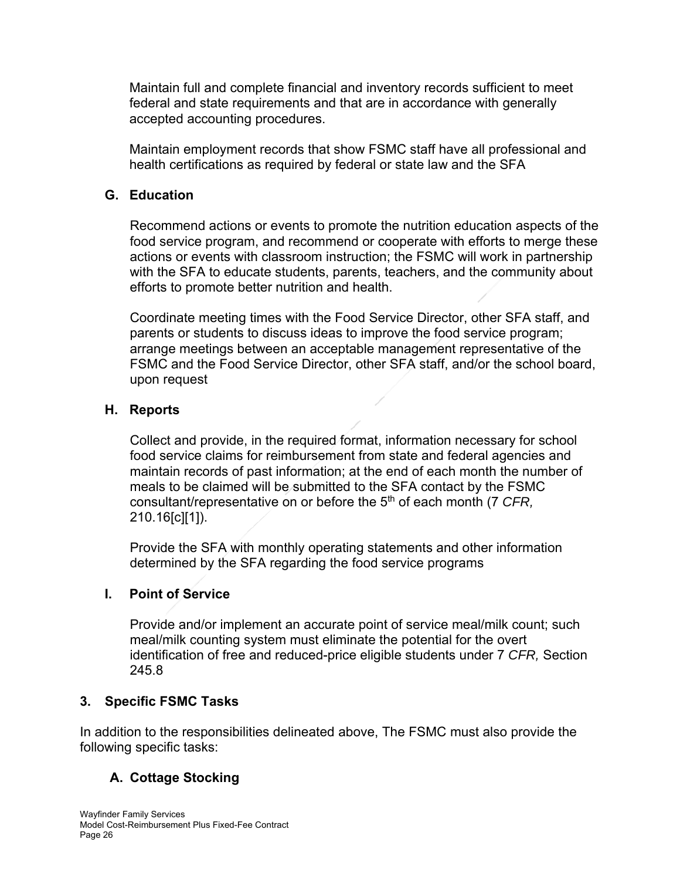Maintain full and complete financial and inventory records sufficient to meet federal and state requirements and that are in accordance with generally accepted accounting procedures.

Maintain employment records that show FSMC staff have all professional and health certifications as required by federal or state law and the SFA

# **G. Education**

Recommend actions or events to promote the nutrition education aspects of the food service program, and recommend or cooperate with efforts to merge these actions or events with classroom instruction; the FSMC will work in partnership with the SFA to educate students, parents, teachers, and the community about efforts to promote better nutrition and health.

Coordinate meeting times with the Food Service Director, other SFA staff, and parents or students to discuss ideas to improve the food service program; arrange meetings between an acceptable management representative of the FSMC and the Food Service Director, other SFA staff, and/or the school board, upon request

## **H. Reports**

Collect and provide, in the required format, information necessary for school food service claims for reimbursement from state and federal agencies and maintain records of past information; at the end of each month the number of meals to be claimed will be submitted to the SFA contact by the FSMC consultant/representative on or before the 5<sup>th</sup> of each month (7 CFR, 210.16[c][1]).

Provide the SFA with monthly operating statements and other information determined by the SFA regarding the food service programs

# **I. Point of Service**

Provide and/or implement an accurate point of service meal/milk count; such meal/milk counting system must eliminate the potential for the overt identification of free and reduced-price eligible students under 7 *CFR,* Section 245.8

### **3. Specific FSMC Tasks**

In addition to the responsibilities delineated above, The FSMC must also provide the following specific tasks:

# **A. Cottage Stocking**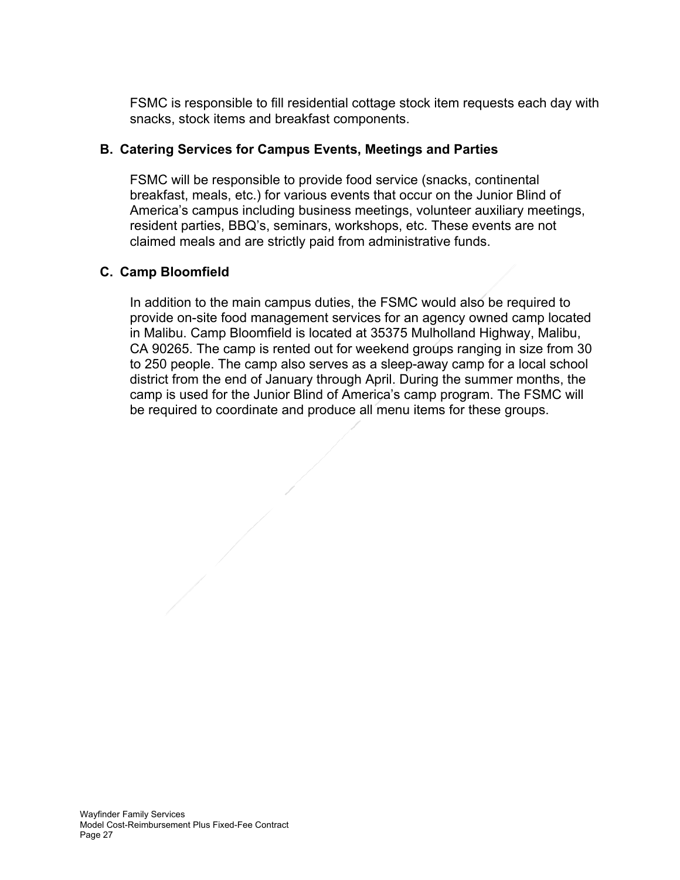FSMC is responsible to fill residential cottage stock item requests each day with snacks, stock items and breakfast components.

# **B. Catering Services for Campus Events, Meetings and Parties**

FSMC will be responsible to provide food service (snacks, continental breakfast, meals, etc.) for various events that occur on the Junior Blind of America's campus including business meetings, volunteer auxiliary meetings, resident parties, BBQ's, seminars, workshops, etc. These events are not claimed meals and are strictly paid from administrative funds.

# **C. Camp Bloomfield**

In addition to the main campus duties, the FSMC would also be required to provide on-site food management services for an agency owned camp located in Malibu. Camp Bloomfield is located at 35375 Mulholland Highway, Malibu, CA 90265. The camp is rented out for weekend groups ranging in size from 30 to 250 people. The camp also serves as a sleep-away camp for a local school district from the end of January through April. During the summer months, the camp is used for the Junior Blind of America's camp program. The FSMC will be required to coordinate and produce all menu items for these groups.